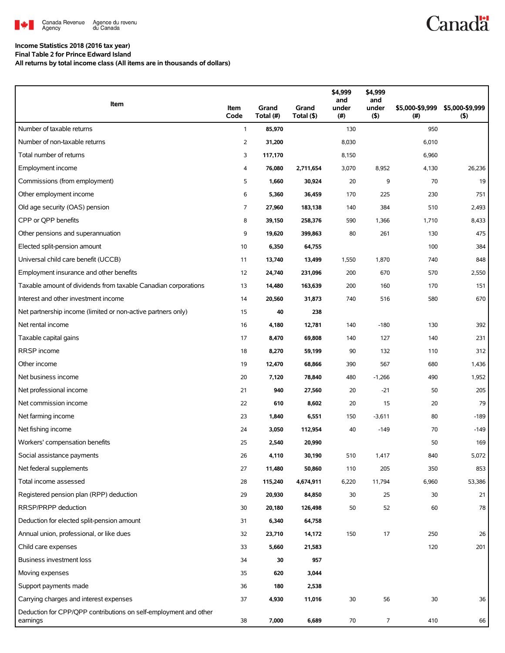

# **Canadä**

## **Income Statistics 2018 (2016 tax year)**

**Final Table 2 for Prince Edward Island**

**All returns by total income class (All items are in thousands of dollars)**

| Item                                                                         | Item<br>Code   | Grand<br>Total (#) | Grand<br>Total (\$) | \$4,999<br>and<br>under<br>(#) | \$4,999<br>and<br>under<br>(5) | \$5,000-\$9,999<br>(# ) | \$5,000-\$9,999<br>$($ \$) |
|------------------------------------------------------------------------------|----------------|--------------------|---------------------|--------------------------------|--------------------------------|-------------------------|----------------------------|
| Number of taxable returns                                                    | $\mathbf{1}$   | 85,970             |                     | 130                            |                                | 950                     |                            |
| Number of non-taxable returns                                                | $\overline{2}$ | 31,200             |                     | 8,030                          |                                | 6,010                   |                            |
| Total number of returns                                                      | 3              | 117,170            |                     | 8,150                          |                                | 6,960                   |                            |
| Employment income                                                            | 4              | 76,080             | 2,711,654           | 3,070                          | 8,952                          | 4,130                   | 26,236                     |
| Commissions (from employment)                                                | 5              | 1,660              | 30,924              | 20                             | 9                              | 70                      | 19                         |
| Other employment income                                                      | 6              | 5,360              | 36,459              | 170                            | 225                            | 230                     | 751                        |
| Old age security (OAS) pension                                               | 7              | 27,960             | 183,138             | 140                            | 384                            | 510                     | 2,493                      |
| CPP or OPP benefits                                                          | 8              | 39,150             | 258,376             | 590                            | 1,366                          | 1,710                   | 8,433                      |
| Other pensions and superannuation                                            | 9              | 19,620             | 399,863             | 80                             | 261                            | 130                     | 475                        |
| Elected split-pension amount                                                 | 10             | 6,350              | 64,755              |                                |                                | 100                     | 384                        |
| Universal child care benefit (UCCB)                                          | 11             | 13,740             | 13,499              | 1,550                          | 1,870                          | 740                     | 848                        |
| Employment insurance and other benefits                                      | 12             | 24,740             | 231,096             | 200                            | 670                            | 570                     | 2,550                      |
| Taxable amount of dividends from taxable Canadian corporations               | 13             | 14,480             | 163,639             | 200                            | 160                            | 170                     | 151                        |
| Interest and other investment income                                         | 14             | 20,560             | 31,873              | 740                            | 516                            | 580                     | 670                        |
| Net partnership income (limited or non-active partners only)                 | 15             | 40                 | 238                 |                                |                                |                         |                            |
| Net rental income                                                            | 16             | 4,180              | 12,781              | 140                            | $-180$                         | 130                     | 392                        |
| Taxable capital gains                                                        | 17             | 8,470              | 69,808              | 140                            | 127                            | 140                     | 231                        |
| RRSP income                                                                  | 18             | 8,270              | 59,199              | 90                             | 132                            | 110                     | 312                        |
| Other income                                                                 | 19             | 12,470             | 68,866              | 390                            | 567                            | 680                     | 1,436                      |
| Net business income                                                          | 20             | 7,120              | 78,840              | 480                            | $-1,266$                       | 490                     | 1,952                      |
| Net professional income                                                      | 21             | 940                | 27,560              | 20                             | $-21$                          | 50                      | 205                        |
| Net commission income                                                        | 22             | 610                | 8,602               | 20                             | 15                             | 20                      | 79                         |
| Net farming income                                                           | 23             | 1,840              | 6,551               | 150                            | $-3,611$                       | 80                      | $-189$                     |
| Net fishing income                                                           | 24             | 3,050              | 112,954             | 40                             | $-149$                         | 70                      | $-149$                     |
| Workers' compensation benefits                                               | 25             | 2,540              | 20,990              |                                |                                | 50                      | 169                        |
| Social assistance payments                                                   | 26             | 4,110              | 30,190              | 510                            | 1,417                          | 840                     | 5,072                      |
| Net federal supplements                                                      | 27             | 11,480             | 50,860              | 110                            | 205                            | 350                     | 853                        |
| Total income assessed                                                        | 28             | 115,240            | 4,674,911           | 6,220                          | 11,794                         | 6,960                   | 53,386                     |
| Registered pension plan (RPP) deduction                                      | 29             | 20,930             | 84,850              | 30                             | 25                             | 30                      | 21                         |
| RRSP/PRPP deduction                                                          | 30             | 20,180             | 126,498             | 50                             | 52                             | 60                      | 78                         |
| Deduction for elected split-pension amount                                   | 31             | 6,340              | 64,758              |                                |                                |                         |                            |
| Annual union, professional, or like dues                                     | 32             | 23,710             | 14,172              | 150                            | 17                             | 250                     | 26                         |
| Child care expenses                                                          | 33             | 5,660              | 21,583              |                                |                                | 120                     | 201                        |
| Business investment loss                                                     | 34             | 30                 | 957                 |                                |                                |                         |                            |
| Moving expenses                                                              | 35             | 620                | 3,044               |                                |                                |                         |                            |
| Support payments made                                                        | 36             | 180                | 2,538               |                                |                                |                         |                            |
| Carrying charges and interest expenses                                       | 37             | 4,930              | 11,016              | 30                             | 56                             | 30                      | 36                         |
| Deduction for CPP/QPP contributions on self-employment and other<br>earnings | 38             | 7,000              | 6,689               | $70\,$                         | $\overline{7}$                 | 410                     | 66                         |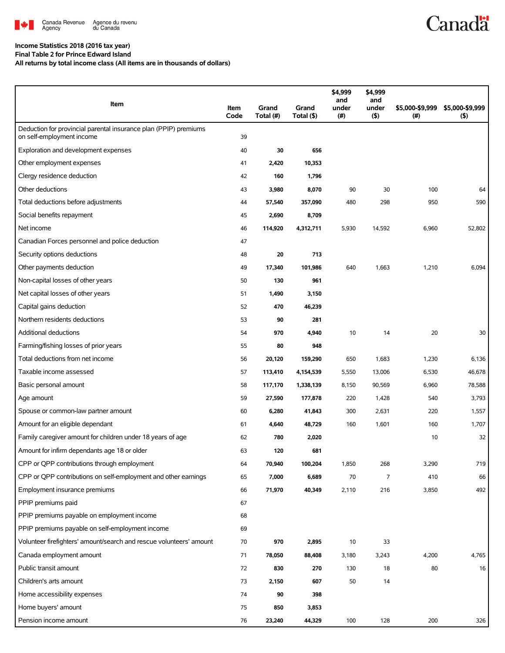

### **Income Statistics 2018 (2016 tax year)**

**Final Table 2 for Prince Edward Island**

**All returns by total income class (All items are in thousands of dollars)**

| Item                                                                                          | Item<br>Code | Grand<br>Total (#) | Grand<br>Total (\$) | \$4,999<br>and<br>under<br>(#) | \$4,999<br>and<br>under<br>$($ \$) | \$5,000-\$9,999<br>(#) | \$5,000-\$9,999<br>(5) |
|-----------------------------------------------------------------------------------------------|--------------|--------------------|---------------------|--------------------------------|------------------------------------|------------------------|------------------------|
| Deduction for provincial parental insurance plan (PPIP) premiums<br>on self-employment income | 39           |                    |                     |                                |                                    |                        |                        |
| Exploration and development expenses                                                          | 40           | 30                 | 656                 |                                |                                    |                        |                        |
| Other employment expenses                                                                     | 41           | 2,420              | 10,353              |                                |                                    |                        |                        |
| Clergy residence deduction                                                                    | 42           | 160                | 1,796               |                                |                                    |                        |                        |
| Other deductions                                                                              | 43           | 3,980              | 8,070               | 90                             | 30                                 | 100                    | 64                     |
| Total deductions before adjustments                                                           | 44           | 57,540             | 357,090             | 480                            | 298                                | 950                    | 590                    |
| Social benefits repayment                                                                     | 45           | 2,690              | 8,709               |                                |                                    |                        |                        |
| Net income                                                                                    | 46           | 114,920            | 4,312,711           | 5,930                          | 14,592                             | 6,960                  | 52,802                 |
| Canadian Forces personnel and police deduction                                                | 47           |                    |                     |                                |                                    |                        |                        |
| Security options deductions                                                                   | 48           | 20                 | 713                 |                                |                                    |                        |                        |
| Other payments deduction                                                                      | 49           | 17,340             | 101,986             | 640                            | 1,663                              | 1,210                  | 6,094                  |
| Non-capital losses of other years                                                             | 50           | 130                | 961                 |                                |                                    |                        |                        |
| Net capital losses of other years                                                             | 51           | 1,490              | 3,150               |                                |                                    |                        |                        |
| Capital gains deduction                                                                       | 52           | 470                | 46,239              |                                |                                    |                        |                        |
| Northern residents deductions                                                                 | 53           | 90                 | 281                 |                                |                                    |                        |                        |
| <b>Additional deductions</b>                                                                  | 54           | 970                | 4,940               | 10                             | 14                                 | 20                     | 30                     |
| Farming/fishing losses of prior years                                                         | 55           | 80                 | 948                 |                                |                                    |                        |                        |
| Total deductions from net income                                                              | 56           | 20,120             | 159,290             | 650                            | 1,683                              | 1,230                  | 6,136                  |
| Taxable income assessed                                                                       | 57           | 113,410            | 4,154,539           | 5,550                          | 13,006                             | 6,530                  | 46,678                 |
| Basic personal amount                                                                         | 58           | 117,170            | 1,338,139           | 8,150                          | 90,569                             | 6,960                  | 78,588                 |
| Age amount                                                                                    | 59           | 27,590             | 177,878             | 220                            | 1,428                              | 540                    | 3,793                  |
| Spouse or common-law partner amount                                                           | 60           | 6,280              | 41,843              | 300                            | 2,631                              | 220                    | 1,557                  |
| Amount for an eligible dependant                                                              | 61           | 4,640              | 48,729              | 160                            | 1,601                              | 160                    | 1,707                  |
| Family caregiver amount for children under 18 years of age                                    | 62           | 780                | 2,020               |                                |                                    | 10                     | 32                     |
| Amount for infirm dependants age 18 or older                                                  | 63           | 120                | 681                 |                                |                                    |                        |                        |
| CPP or QPP contributions through employment                                                   | 64           | 70,940             | 100,204             | 1,850                          | 268                                | 3,290                  | 719                    |
| CPP or QPP contributions on self-employment and other earnings                                | 65           | 7,000              | 6,689               | 70                             | 7                                  | 410                    | 66                     |
| Employment insurance premiums                                                                 | 66           | 71,970             | 40,349              | 2,110                          | 216                                | 3,850                  | 492                    |
| PPIP premiums paid                                                                            | 67           |                    |                     |                                |                                    |                        |                        |
| PPIP premiums payable on employment income                                                    | 68           |                    |                     |                                |                                    |                        |                        |
| PPIP premiums payable on self-employment income                                               | 69           |                    |                     |                                |                                    |                        |                        |
| Volunteer firefighters' amount/search and rescue volunteers' amount                           | 70           | 970                | 2,895               | 10                             | 33                                 |                        |                        |
| Canada employment amount                                                                      | 71           | 78,050             | 88,408              | 3,180                          | 3,243                              | 4,200                  | 4,765                  |
| Public transit amount                                                                         | 72           | 830                | 270                 | 130                            | 18                                 | 80                     | 16                     |
| Children's arts amount                                                                        | 73           | 2,150              | 607                 | 50                             | 14                                 |                        |                        |
| Home accessibility expenses                                                                   | 74           | 90                 | 398                 |                                |                                    |                        |                        |
| Home buyers' amount                                                                           | 75           | 850                | 3,853               |                                |                                    |                        |                        |
| Pension income amount                                                                         | 76           | 23,240             | 44,329              | 100                            | 128                                | 200                    | 326                    |

**Canadä**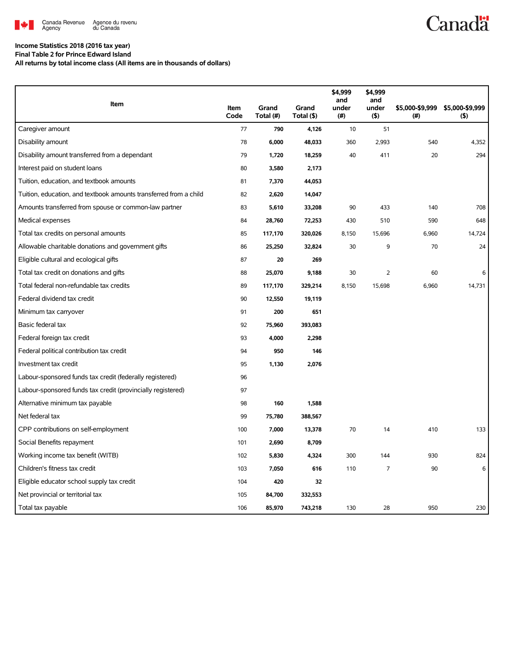

#### **Income Statistics 2018 (2016 tax year) Final Table 2 for Prince Edward Island**

**All returns by total income class (All items are in thousands of dollars)**

| Item                                                              |              |                    |                     | \$4,999<br>and | \$4,999<br>and |                         |                            |
|-------------------------------------------------------------------|--------------|--------------------|---------------------|----------------|----------------|-------------------------|----------------------------|
|                                                                   | Item<br>Code | Grand<br>Total (#) | Grand<br>Total (\$) | under<br>(# )  | under<br>(5)   | \$5,000-\$9,999<br>(# ) | \$5,000-\$9,999<br>$($ \$) |
| Caregiver amount                                                  | 77           | 790                | 4,126               | 10             | 51             |                         |                            |
| Disability amount                                                 | 78           | 6,000              | 48,033              | 360            | 2,993          | 540                     | 4,352                      |
| Disability amount transferred from a dependant                    | 79           | 1,720              | 18,259              | 40             | 411            | 20                      | 294                        |
| Interest paid on student loans                                    | 80           | 3,580              | 2,173               |                |                |                         |                            |
| Tuition, education, and textbook amounts                          | 81           | 7,370              | 44,053              |                |                |                         |                            |
| Tuition, education, and textbook amounts transferred from a child | 82           | 2,620              | 14,047              |                |                |                         |                            |
| Amounts transferred from spouse or common-law partner             | 83           | 5,610              | 33,208              | 90             | 433            | 140                     | 708                        |
| Medical expenses                                                  | 84           | 28,760             | 72,253              | 430            | 510            | 590                     | 648                        |
| Total tax credits on personal amounts                             | 85           | 117,170            | 320,026             | 8,150          | 15,696         | 6,960                   | 14,724                     |
| Allowable charitable donations and government gifts               | 86           | 25,250             | 32,824              | 30             | 9              | 70                      | 24                         |
| Eligible cultural and ecological gifts                            | 87           | 20                 | 269                 |                |                |                         |                            |
| Total tax credit on donations and gifts                           | 88           | 25,070             | 9,188               | 30             | 2              | 60                      | 6                          |
| Total federal non-refundable tax credits                          | 89           | 117,170            | 329,214             | 8,150          | 15,698         | 6,960                   | 14,731                     |
| Federal dividend tax credit                                       | 90           | 12,550             | 19,119              |                |                |                         |                            |
| Minimum tax carryover                                             | 91           | 200                | 651                 |                |                |                         |                            |
| Basic federal tax                                                 | 92           | 75,960             | 393,083             |                |                |                         |                            |
| Federal foreign tax credit                                        | 93           | 4,000              | 2,298               |                |                |                         |                            |
| Federal political contribution tax credit                         | 94           | 950                | 146                 |                |                |                         |                            |
| Investment tax credit                                             | 95           | 1,130              | 2,076               |                |                |                         |                            |
| Labour-sponsored funds tax credit (federally registered)          | 96           |                    |                     |                |                |                         |                            |
| Labour-sponsored funds tax credit (provincially registered)       | 97           |                    |                     |                |                |                         |                            |
| Alternative minimum tax payable                                   | 98           | 160                | 1,588               |                |                |                         |                            |
| Net federal tax                                                   | 99           | 75,780             | 388,567             |                |                |                         |                            |
| CPP contributions on self-employment                              | 100          | 7,000              | 13,378              | 70             | 14             | 410                     | 133                        |
| Social Benefits repayment                                         | 101          | 2,690              | 8,709               |                |                |                         |                            |
| Working income tax benefit (WITB)                                 | 102          | 5,830              | 4,324               | 300            | 144            | 930                     | 824                        |
| Children's fitness tax credit                                     | 103          | 7,050              | 616                 | 110            | 7              | $90\,$                  | 6                          |
| Eligible educator school supply tax credit                        | 104          | 420                | 32                  |                |                |                         |                            |
| Net provincial or territorial tax                                 | 105          | 84,700             | 332,553             |                |                |                         |                            |
| Total tax payable                                                 | 106          | 85,970             | 743,218             | 130            | 28             | 950                     | 230                        |

**Canadä**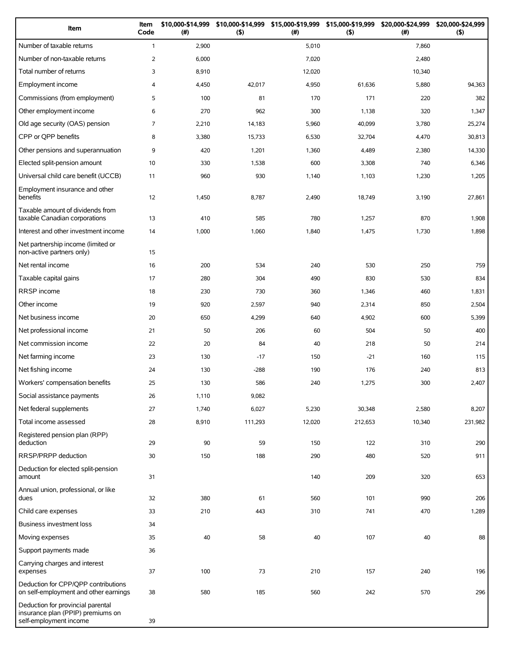| Item                                                                                             | Item<br>Code   | \$10,000-\$14,999<br>(#) | \$10,000-\$14,999<br>(5) | \$15,000-\$19,999<br>(#) | \$15,000-\$19,999<br>(5) | \$20,000-\$24,999<br>(#) | \$20,000-\$24,999<br>(5) |
|--------------------------------------------------------------------------------------------------|----------------|--------------------------|--------------------------|--------------------------|--------------------------|--------------------------|--------------------------|
| Number of taxable returns                                                                        | $\mathbf{1}$   | 2,900                    |                          | 5,010                    |                          | 7,860                    |                          |
| Number of non-taxable returns                                                                    | $\overline{2}$ | 6,000                    |                          | 7,020                    |                          | 2,480                    |                          |
| Total number of returns                                                                          | 3              | 8,910                    |                          | 12,020                   |                          | 10,340                   |                          |
| Employment income                                                                                | 4              | 4,450                    | 42,017                   | 4,950                    | 61,636                   | 5,880                    | 94,363                   |
| Commissions (from employment)                                                                    | 5              | 100                      | 81                       | 170                      | 171                      | 220                      | 382                      |
| Other employment income                                                                          | 6              | 270                      | 962                      | 300                      | 1,138                    | 320                      | 1,347                    |
| Old age security (OAS) pension                                                                   | $\overline{7}$ | 2,210                    | 14,183                   | 5,960                    | 40,099                   | 3,780                    | 25,274                   |
| CPP or QPP benefits                                                                              | 8              | 3,380                    | 15,733                   | 6,530                    | 32,704                   | 4,470                    | 30,813                   |
| Other pensions and superannuation                                                                | 9              | 420                      | 1,201                    | 1,360                    | 4,489                    | 2,380                    | 14,330                   |
| Elected split-pension amount                                                                     | 10             | 330                      | 1,538                    | 600                      | 3,308                    | 740                      | 6,346                    |
| Universal child care benefit (UCCB)                                                              | 11             | 960                      | 930                      | 1,140                    | 1,103                    | 1,230                    | 1,205                    |
| Employment insurance and other<br>benefits                                                       | 12             | 1,450                    | 8,787                    | 2,490                    | 18,749                   | 3,190                    | 27,861                   |
| Taxable amount of dividends from<br>taxable Canadian corporations                                | 13             | 410                      | 585                      | 780                      | 1,257                    | 870                      | 1,908                    |
| Interest and other investment income                                                             | 14             | 1,000                    | 1,060                    | 1,840                    | 1,475                    | 1,730                    | 1,898                    |
| Net partnership income (limited or<br>non-active partners only)                                  | 15             |                          |                          |                          |                          |                          |                          |
| Net rental income                                                                                | 16             | 200                      | 534                      | 240                      | 530                      | 250                      | 759                      |
| Taxable capital gains                                                                            | 17             | 280                      | 304                      | 490                      | 830                      | 530                      | 834                      |
| RRSP income                                                                                      | 18             | 230                      | 730                      | 360                      | 1,346                    | 460                      | 1,831                    |
| Other income                                                                                     | 19             | 920                      | 2,597                    | 940                      | 2,314                    | 850                      | 2,504                    |
| Net business income                                                                              | 20             | 650                      | 4,299                    | 640                      | 4,902                    | 600                      | 5,399                    |
| Net professional income                                                                          | 21             | 50                       | 206                      | 60                       | 504                      | 50                       | 400                      |
| Net commission income                                                                            | 22             | 20                       | 84                       | 40                       | 218                      | 50                       | 214                      |
| Net farming income                                                                               | 23             | 130                      | $-17$                    | 150                      | $-21$                    | 160                      | 115                      |
| Net fishing income                                                                               | 24             | 130                      | $-288$                   | 190                      | 176                      | 240                      | 813                      |
| Workers' compensation benefits                                                                   | 25             | 130                      | 586                      | 240                      | 1,275                    | 300                      | 2,407                    |
| Social assistance payments                                                                       | 26             | 1,110                    | 9,082                    |                          |                          |                          |                          |
| Net federal supplements                                                                          | 27             | 1,740                    | 6,027                    | 5,230                    | 30,348                   | 2,580                    | 8,207                    |
| Total income assessed                                                                            | 28             | 8,910                    | 111,293                  | 12,020                   | 212,653                  | 10,340                   | 231,982                  |
| Registered pension plan (RPP)<br>deduction                                                       | 29             | 90                       | 59                       | 150                      | 122                      | 310                      | 290                      |
| RRSP/PRPP deduction                                                                              | 30             | 150                      | 188                      | 290                      | 480                      | 520                      | 911                      |
| Deduction for elected split-pension<br>amount                                                    | 31             |                          |                          | 140                      | 209                      | 320                      | 653                      |
| Annual union, professional, or like<br>dues                                                      | 32             | 380                      | 61                       | 560                      | 101                      | 990                      | 206                      |
| Child care expenses                                                                              | 33             | 210                      | 443                      | 310                      | 741                      | 470                      | 1,289                    |
| Business investment loss                                                                         | 34             |                          |                          |                          |                          |                          |                          |
| Moving expenses                                                                                  | 35             | 40                       | 58                       | 40                       | 107                      | 40                       | 88                       |
| Support payments made                                                                            | 36             |                          |                          |                          |                          |                          |                          |
| Carrying charges and interest<br>expenses                                                        | 37             | 100                      | 73                       | 210                      | 157                      | 240                      | 196                      |
| Deduction for CPP/QPP contributions<br>on self-employment and other earnings                     | 38             | 580                      | 185                      | 560                      | 242                      | 570                      | 296                      |
| Deduction for provincial parental<br>insurance plan (PPIP) premiums on<br>self-employment income | 39             |                          |                          |                          |                          |                          |                          |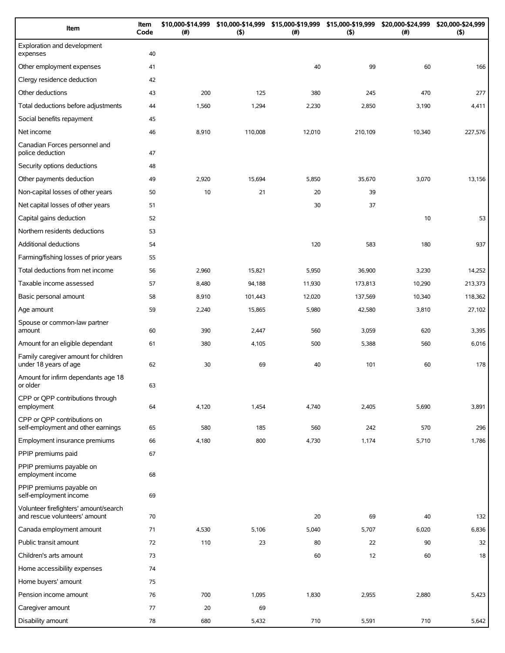| Item                                                                   | Item<br>Code | \$10,000-\$14,999<br>(#) | \$10,000-\$14,999<br>(5) | \$15,000-\$19,999<br>(#) | \$15,000-\$19,999<br>(5) | \$20,000-\$24,999<br>$(\#)$ | \$20,000-\$24,999<br>(5) |
|------------------------------------------------------------------------|--------------|--------------------------|--------------------------|--------------------------|--------------------------|-----------------------------|--------------------------|
| Exploration and development<br>expenses                                | 40           |                          |                          |                          |                          |                             |                          |
| Other employment expenses                                              | 41           |                          |                          | 40                       | 99                       | 60                          | 166                      |
| Clergy residence deduction                                             | 42           |                          |                          |                          |                          |                             |                          |
| Other deductions                                                       | 43           | 200                      | 125                      | 380                      | 245                      | 470                         | 277                      |
| Total deductions before adjustments                                    | 44           | 1,560                    | 1,294                    | 2,230                    | 2,850                    | 3,190                       | 4,411                    |
| Social benefits repayment                                              | 45           |                          |                          |                          |                          |                             |                          |
| Net income                                                             | 46           | 8,910                    | 110,008                  | 12,010                   | 210,109                  | 10,340                      | 227,576                  |
| Canadian Forces personnel and<br>police deduction                      | 47           |                          |                          |                          |                          |                             |                          |
| Security options deductions                                            | 48           |                          |                          |                          |                          |                             |                          |
| Other payments deduction                                               | 49           | 2,920                    | 15,694                   | 5,850                    | 35,670                   | 3,070                       | 13,156                   |
| Non-capital losses of other years                                      | 50           | 10                       | 21                       | 20                       | 39                       |                             |                          |
| Net capital losses of other years                                      | 51           |                          |                          | 30                       | 37                       |                             |                          |
| Capital gains deduction                                                | 52           |                          |                          |                          |                          | 10                          | 53                       |
| Northern residents deductions                                          | 53           |                          |                          |                          |                          |                             |                          |
| Additional deductions                                                  | 54           |                          |                          | 120                      | 583                      | 180                         | 937                      |
| Farming/fishing losses of prior years                                  | 55           |                          |                          |                          |                          |                             |                          |
| Total deductions from net income                                       | 56           | 2,960                    | 15,821                   | 5,950                    | 36,900                   | 3,230                       | 14,252                   |
| Taxable income assessed                                                | 57           | 8,480                    | 94,188                   | 11,930                   | 173,813                  | 10,290                      | 213,373                  |
| Basic personal amount                                                  | 58           | 8,910                    | 101,443                  | 12,020                   | 137,569                  | 10,340                      | 118,362                  |
| Age amount                                                             | 59           | 2,240                    | 15,865                   | 5,980                    | 42,580                   | 3,810                       | 27,102                   |
| Spouse or common-law partner<br>amount                                 | 60           | 390                      | 2,447                    | 560                      | 3,059                    | 620                         | 3,395                    |
| Amount for an eligible dependant                                       | 61           | 380                      | 4,105                    | 500                      | 5,388                    | 560                         | 6,016                    |
| Family caregiver amount for children<br>under 18 years of age          | 62           | 30                       | 69                       | 40                       | 101                      | 60                          | 178                      |
| Amount for infirm dependants age 18<br>or older                        | 63           |                          |                          |                          |                          |                             |                          |
| CPP or QPP contributions through<br>employment                         | 64           | 4,120                    | 1,454                    | 4,740                    | 2,405                    | 5,690                       | 3,891                    |
| CPP or OPP contributions on<br>self-employment and other earnings      | 65           | 580                      | 185                      | 560                      | 242                      | 570                         | 296                      |
| Employment insurance premiums                                          | 66           | 4,180                    | 800                      | 4,730                    | 1,174                    | 5,710                       | 1,786                    |
| PPIP premiums paid                                                     | 67           |                          |                          |                          |                          |                             |                          |
| PPIP premiums payable on<br>employment income                          | 68           |                          |                          |                          |                          |                             |                          |
| PPIP premiums payable on<br>self-employment income                     | 69           |                          |                          |                          |                          |                             |                          |
| Volunteer firefighters' amount/search<br>and rescue volunteers' amount | 70           |                          |                          | 20                       | 69                       | 40                          | 132                      |
| Canada employment amount                                               | 71           | 4,530                    | 5,106                    | 5,040                    | 5,707                    | 6,020                       | 6,836                    |
| Public transit amount                                                  | 72           | 110                      | 23                       | 80                       | 22                       | 90                          | 32                       |
| Children's arts amount                                                 | 73           |                          |                          | 60                       | 12                       | 60                          | 18                       |
| Home accessibility expenses                                            | 74           |                          |                          |                          |                          |                             |                          |
| Home buyers' amount                                                    | 75           |                          |                          |                          |                          |                             |                          |
| Pension income amount                                                  | 76           | 700                      | 1,095                    | 1,830                    | 2,955                    | 2,880                       | 5,423                    |
| Caregiver amount                                                       | 77           | 20                       | 69                       |                          |                          |                             |                          |
| Disability amount                                                      | 78           | 680                      | 5,432                    | 710                      | 5,591                    | 710                         | 5,642                    |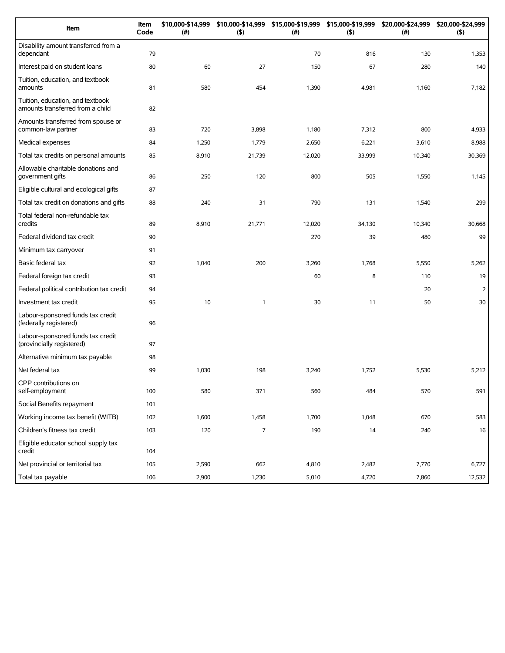| Item                                                                 | Item<br>Code | \$10,000-\$14,999<br>(#) | (5)            | \$10,000-\$14,999 \$15,000-\$19,999 \$15,000-\$19,999<br>$(\#)$ | (5)    | \$20,000-\$24,999<br>(#) | \$20,000-\$24,999<br>(5) |
|----------------------------------------------------------------------|--------------|--------------------------|----------------|-----------------------------------------------------------------|--------|--------------------------|--------------------------|
| Disability amount transferred from a<br>dependant                    | 79           |                          |                | 70                                                              | 816    | 130                      | 1,353                    |
| Interest paid on student loans                                       | 80           | 60                       | 27             | 150                                                             | 67     | 280                      | 140                      |
| Tuition, education, and textbook<br>amounts                          | 81           | 580                      | 454            | 1,390                                                           | 4,981  | 1,160                    | 7,182                    |
| Tuition, education, and textbook<br>amounts transferred from a child | 82           |                          |                |                                                                 |        |                          |                          |
| Amounts transferred from spouse or<br>common-law partner             | 83           | 720                      | 3,898          | 1,180                                                           | 7,312  | 800                      | 4,933                    |
| Medical expenses                                                     | 84           | 1,250                    | 1,779          | 2,650                                                           | 6,221  | 3,610                    | 8,988                    |
| Total tax credits on personal amounts                                | 85           | 8,910                    | 21,739         | 12,020                                                          | 33,999 | 10,340                   | 30,369                   |
| Allowable charitable donations and<br>government gifts               | 86           | 250                      | 120            | 800                                                             | 505    | 1,550                    | 1,145                    |
| Eligible cultural and ecological gifts                               | 87           |                          |                |                                                                 |        |                          |                          |
| Total tax credit on donations and gifts                              | 88           | 240                      | 31             | 790                                                             | 131    | 1,540                    | 299                      |
| Total federal non-refundable tax<br>credits                          | 89           | 8,910                    | 21,771         | 12,020                                                          | 34,130 | 10,340                   | 30,668                   |
| Federal dividend tax credit                                          | 90           |                          |                | 270                                                             | 39     | 480                      | 99                       |
| Minimum tax carryover                                                | 91           |                          |                |                                                                 |        |                          |                          |
| Basic federal tax                                                    | 92           | 1,040                    | 200            | 3,260                                                           | 1,768  | 5,550                    | 5,262                    |
| Federal foreign tax credit                                           | 93           |                          |                | 60                                                              | 8      | 110                      | 19                       |
| Federal political contribution tax credit                            | 94           |                          |                |                                                                 |        | 20                       | $\overline{2}$           |
| Investment tax credit                                                | 95           | 10                       | 1              | 30                                                              | 11     | 50                       | 30                       |
| Labour-sponsored funds tax credit<br>(federally registered)          | 96           |                          |                |                                                                 |        |                          |                          |
| Labour-sponsored funds tax credit<br>(provincially registered)       | 97           |                          |                |                                                                 |        |                          |                          |
| Alternative minimum tax payable                                      | 98           |                          |                |                                                                 |        |                          |                          |
| Net federal tax                                                      | 99           | 1,030                    | 198            | 3,240                                                           | 1,752  | 5,530                    | 5,212                    |
| CPP contributions on<br>self-employment                              | 100          | 580                      | 371            | 560                                                             | 484    | 570                      | 591                      |
| Social Benefits repayment                                            | 101          |                          |                |                                                                 |        |                          |                          |
| Working income tax benefit (WITB)                                    | 102          | 1,600                    | 1,458          | 1,700                                                           | 1,048  | 670                      | 583                      |
| Children's fitness tax credit                                        | 103          | 120                      | $\overline{7}$ | 190                                                             | 14     | 240                      | 16                       |
| Eligible educator school supply tax<br>credit                        | 104          |                          |                |                                                                 |        |                          |                          |
| Net provincial or territorial tax                                    | 105          | 2,590                    | 662            | 4,810                                                           | 2,482  | 7,770                    | 6,727                    |
| Total tax payable                                                    | 106          | 2,900                    | 1,230          | 5,010                                                           | 4,720  | 7,860                    | 12,532                   |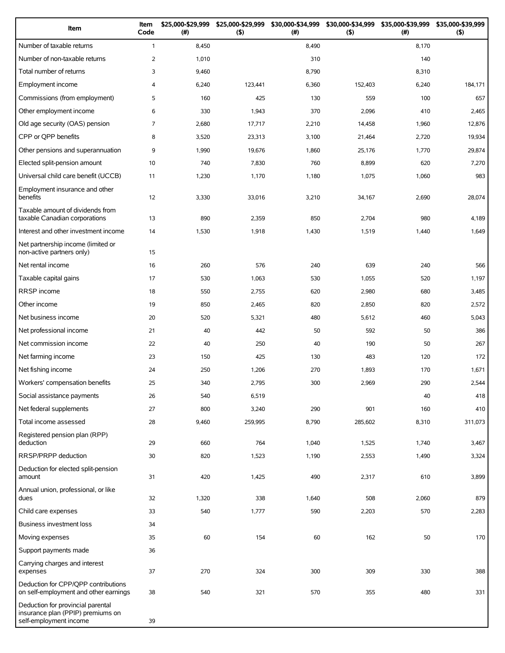| Item                                                                                             | Item<br>Code   | \$25,000-\$29,999<br>(#) | \$25,000-\$29,999<br>$($ \$) | \$30,000-\$34,999<br>(#) | \$30,000-\$34,999<br>$($ \$) | \$35,000-\$39,999<br>(#) | \$35,000-\$39,999<br>(5) |
|--------------------------------------------------------------------------------------------------|----------------|--------------------------|------------------------------|--------------------------|------------------------------|--------------------------|--------------------------|
| Number of taxable returns                                                                        | $\mathbf{1}$   | 8,450                    |                              | 8,490                    |                              | 8,170                    |                          |
| Number of non-taxable returns                                                                    | $\overline{2}$ | 1,010                    |                              | 310                      |                              | 140                      |                          |
| Total number of returns                                                                          | 3              | 9,460                    |                              | 8,790                    |                              | 8,310                    |                          |
| Employment income                                                                                | 4              | 6,240                    | 123,441                      | 6,360                    | 152,403                      | 6,240                    | 184,171                  |
| Commissions (from employment)                                                                    | 5              | 160                      | 425                          | 130                      | 559                          | 100                      | 657                      |
| Other employment income                                                                          | 6              | 330                      | 1,943                        | 370                      | 2,096                        | 410                      | 2,465                    |
| Old age security (OAS) pension                                                                   | $\overline{7}$ | 2,680                    | 17,717                       | 2,210                    | 14,458                       | 1,960                    | 12,876                   |
| CPP or QPP benefits                                                                              | 8              | 3,520                    | 23,313                       | 3,100                    | 21,464                       | 2,720                    | 19,934                   |
| Other pensions and superannuation                                                                | 9              | 1,990                    | 19,676                       | 1,860                    | 25,176                       | 1,770                    | 29,874                   |
| Elected split-pension amount                                                                     | 10             | 740                      | 7,830                        | 760                      | 8,899                        | 620                      | 7,270                    |
| Universal child care benefit (UCCB)                                                              | 11             | 1,230                    | 1,170                        | 1,180                    | 1,075                        | 1,060                    | 983                      |
| Employment insurance and other<br>benefits                                                       | 12             | 3,330                    | 33,016                       | 3,210                    | 34,167                       | 2,690                    | 28,074                   |
| Taxable amount of dividends from<br>taxable Canadian corporations                                | 13             | 890                      | 2,359                        | 850                      | 2,704                        | 980                      | 4,189                    |
| Interest and other investment income                                                             | 14             | 1,530                    | 1,918                        | 1,430                    | 1,519                        | 1,440                    | 1,649                    |
| Net partnership income (limited or<br>non-active partners only)                                  | 15             |                          |                              |                          |                              |                          |                          |
| Net rental income                                                                                | 16             | 260                      | 576                          | 240                      | 639                          | 240                      | 566                      |
| Taxable capital gains                                                                            | 17             | 530                      | 1,063                        | 530                      | 1,055                        | 520                      | 1,197                    |
| <b>RRSP</b> income                                                                               | 18             | 550                      | 2,755                        | 620                      | 2,980                        | 680                      | 3,485                    |
| Other income                                                                                     | 19             | 850                      | 2,465                        | 820                      | 2,850                        | 820                      | 2,572                    |
| Net business income                                                                              | 20             | 520                      | 5,321                        | 480                      | 5,612                        | 460                      | 5,043                    |
| Net professional income                                                                          | 21             | 40                       | 442                          | 50                       | 592                          | 50                       | 386                      |
| Net commission income                                                                            | 22             | 40                       | 250                          | 40                       | 190                          | 50                       | 267                      |
| Net farming income                                                                               | 23             | 150                      | 425                          | 130                      | 483                          | 120                      | 172                      |
| Net fishing income                                                                               | 24             | 250                      | 1,206                        | 270                      | 1,893                        | 170                      | 1,671                    |
| Workers' compensation benefits                                                                   | 25             | 340                      | 2,795                        | 300                      | 2,969                        | 290                      | 2,544                    |
| Social assistance payments                                                                       | 26             | 540                      | 6,519                        |                          |                              | 40                       | 418                      |
| Net federal supplements                                                                          | 27             | 800                      | 3,240                        | 290                      | 901                          | 160                      | 410                      |
| Total income assessed                                                                            | 28             | 9,460                    | 259,995                      | 8,790                    | 285,602                      | 8,310                    | 311,073                  |
| Registered pension plan (RPP)<br>deduction                                                       | 29             | 660                      | 764                          | 1,040                    | 1,525                        | 1,740                    | 3,467                    |
| RRSP/PRPP deduction                                                                              | 30             | 820                      | 1,523                        | 1,190                    | 2,553                        | 1,490                    | 3,324                    |
| Deduction for elected split-pension<br>amount                                                    | 31             | 420                      | 1,425                        | 490                      | 2,317                        | 610                      | 3,899                    |
| Annual union, professional, or like<br>dues                                                      | 32             | 1,320                    | 338                          | 1,640                    | 508                          | 2,060                    | 879                      |
| Child care expenses                                                                              | 33             | 540                      | 1,777                        | 590                      | 2,203                        | 570                      | 2,283                    |
| Business investment loss                                                                         | 34             |                          |                              |                          |                              |                          |                          |
| Moving expenses                                                                                  | 35             | 60                       | 154                          | 60                       | 162                          | 50                       | 170                      |
| Support payments made                                                                            | 36             |                          |                              |                          |                              |                          |                          |
| Carrying charges and interest<br>expenses                                                        | 37             | 270                      | 324                          | 300                      | 309                          | 330                      | 388                      |
| Deduction for CPP/QPP contributions<br>on self-employment and other earnings                     | 38             | 540                      | 321                          | 570                      | 355                          | 480                      | 331                      |
| Deduction for provincial parental<br>insurance plan (PPIP) premiums on<br>self-employment income | 39             |                          |                              |                          |                              |                          |                          |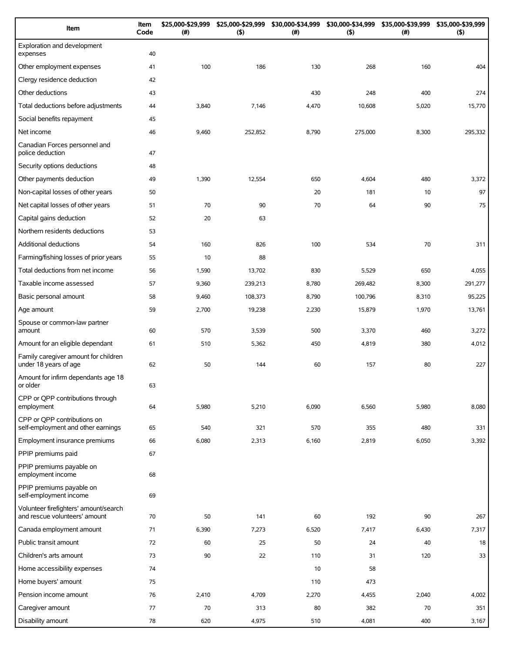| Item                                                                   | Item<br>Code | \$25,000-\$29,999<br>(#) | \$25,000-\$29,999<br>(5) | \$30,000-\$34,999<br>(#) | \$30,000-\$34,999<br>(5) | \$35,000-\$39,999<br>$(\#)$ | \$35,000-\$39,999<br>(5) |
|------------------------------------------------------------------------|--------------|--------------------------|--------------------------|--------------------------|--------------------------|-----------------------------|--------------------------|
| Exploration and development<br>expenses                                | 40           |                          |                          |                          |                          |                             |                          |
| Other employment expenses                                              | 41           | 100                      | 186                      | 130                      | 268                      | 160                         | 404                      |
| Clergy residence deduction                                             | 42           |                          |                          |                          |                          |                             |                          |
| Other deductions                                                       | 43           |                          |                          | 430                      | 248                      | 400                         | 274                      |
| Total deductions before adjustments                                    | 44           | 3,840                    | 7,146                    | 4,470                    | 10,608                   | 5,020                       | 15,770                   |
| Social benefits repayment                                              | 45           |                          |                          |                          |                          |                             |                          |
| Net income                                                             | 46           | 9,460                    | 252,852                  | 8,790                    | 275,000                  | 8,300                       | 295,332                  |
| Canadian Forces personnel and<br>police deduction                      | 47           |                          |                          |                          |                          |                             |                          |
| Security options deductions                                            | 48           |                          |                          |                          |                          |                             |                          |
| Other payments deduction                                               | 49           | 1,390                    | 12,554                   | 650                      | 4,604                    | 480                         | 3,372                    |
| Non-capital losses of other years                                      | 50           |                          |                          | 20                       | 181                      | 10                          | 97                       |
| Net capital losses of other years                                      | 51           | 70                       | 90                       | 70                       | 64                       | 90                          | 75                       |
| Capital gains deduction                                                | 52           | 20                       | 63                       |                          |                          |                             |                          |
| Northern residents deductions                                          | 53           |                          |                          |                          |                          |                             |                          |
| <b>Additional deductions</b>                                           | 54           | 160                      | 826                      | 100                      | 534                      | 70                          | 311                      |
| Farming/fishing losses of prior years                                  | 55           | 10                       | 88                       |                          |                          |                             |                          |
| Total deductions from net income                                       | 56           | 1,590                    | 13,702                   | 830                      | 5,529                    | 650                         | 4,055                    |
| Taxable income assessed                                                | 57           | 9,360                    | 239,213                  | 8,780                    | 269,482                  | 8,300                       | 291,277                  |
| Basic personal amount                                                  | 58           | 9,460                    | 108,373                  | 8,790                    | 100,796                  | 8,310                       | 95,225                   |
| Age amount                                                             | 59           | 2,700                    | 19,238                   | 2,230                    | 15,879                   | 1,970                       | 13,761                   |
| Spouse or common-law partner<br>amount                                 | 60           | 570                      | 3,539                    | 500                      | 3,370                    | 460                         | 3,272                    |
| Amount for an eligible dependant                                       | 61           | 510                      | 5,362                    | 450                      | 4,819                    | 380                         | 4,012                    |
| Family caregiver amount for children<br>under 18 years of age          | 62           | 50                       | 144                      | 60                       | 157                      | 80                          | 227                      |
| Amount for infirm dependants age 18<br>or older                        | 63           |                          |                          |                          |                          |                             |                          |
| CPP or QPP contributions through<br>employment                         | 64           | 5,980                    | 5,210                    | 6,090                    | 6,560                    | 5,980                       | 8,080                    |
| CPP or QPP contributions on<br>self-employment and other earnings      | 65           | 540                      | 321                      | 570                      | 355                      | 480                         | 331                      |
| Employment insurance premiums                                          | 66           | 6,080                    | 2,313                    | 6,160                    | 2,819                    | 6,050                       | 3,392                    |
| PPIP premiums paid                                                     | 67           |                          |                          |                          |                          |                             |                          |
| PPIP premiums payable on<br>employment income                          | 68           |                          |                          |                          |                          |                             |                          |
| PPIP premiums payable on<br>self-employment income                     | 69           |                          |                          |                          |                          |                             |                          |
| Volunteer firefighters' amount/search<br>and rescue volunteers' amount | 70           | 50                       | 141                      | 60                       | 192                      | 90                          | 267                      |
| Canada employment amount                                               | 71           | 6,390                    | 7,273                    | 6,520                    | 7,417                    | 6,430                       | 7,317                    |
| Public transit amount                                                  | 72           | 60                       | 25                       | 50                       | 24                       | 40                          | 18                       |
| Children's arts amount                                                 | 73           | 90                       | 22                       | 110                      | 31                       | 120                         | 33                       |
| Home accessibility expenses                                            | 74           |                          |                          | 10                       | 58                       |                             |                          |
| Home buyers' amount                                                    | 75           |                          |                          | 110                      | 473                      |                             |                          |
| Pension income amount                                                  | 76           | 2,410                    | 4,709                    | 2,270                    | 4,455                    | 2,040                       | 4,002                    |
| Caregiver amount                                                       | 77           | 70                       | 313                      | 80                       | 382                      | 70                          | 351                      |
| Disability amount                                                      | 78           | 620                      | 4,975                    | 510                      | 4,081                    | 400                         | 3,167                    |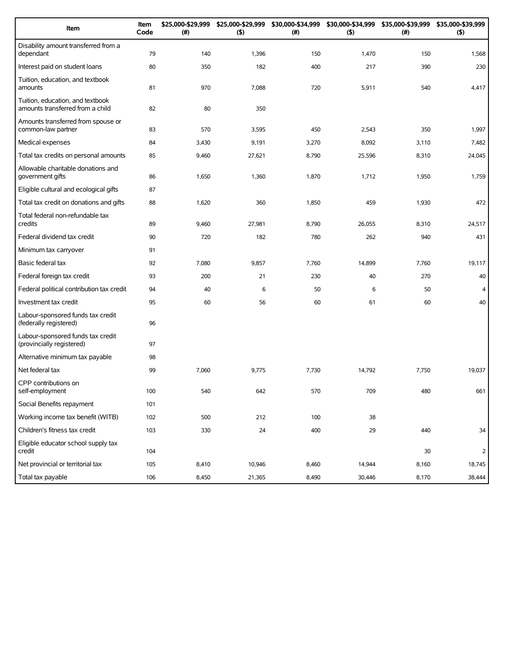| Item                                                                 | Item<br>Code | \$25,000-\$29,999<br>(#) | \$25,000-\$29,999<br>(5) | \$30,000-\$34,999<br>(# ) | \$30,000-\$34,999<br>(5) | \$35,000-\$39,999<br>(#) | \$35,000-\$39,999<br>(5) |
|----------------------------------------------------------------------|--------------|--------------------------|--------------------------|---------------------------|--------------------------|--------------------------|--------------------------|
| Disability amount transferred from a<br>dependant                    | 79           | 140                      | 1,396                    | 150                       | 1,470                    | 150                      | 1,568                    |
| Interest paid on student loans                                       | 80           | 350                      | 182                      | 400                       | 217                      | 390                      | 230                      |
| Tuition, education, and textbook<br>amounts                          | 81           | 970                      | 7,088                    | 720                       | 5,911                    | 540                      | 4,417                    |
| Tuition, education, and textbook<br>amounts transferred from a child | 82           | 80                       | 350                      |                           |                          |                          |                          |
| Amounts transferred from spouse or<br>common-law partner             | 83           | 570                      | 3,595                    | 450                       | 2,543                    | 350                      | 1,997                    |
| Medical expenses                                                     | 84           | 3,430                    | 9,191                    | 3,270                     | 8,092                    | 3,110                    | 7,482                    |
| Total tax credits on personal amounts                                | 85           | 9,460                    | 27,621                   | 8,790                     | 25,596                   | 8,310                    | 24,045                   |
| Allowable charitable donations and<br>government gifts               | 86           | 1,650                    | 1,360                    | 1,870                     | 1,712                    | 1,950                    | 1,759                    |
| Eligible cultural and ecological gifts                               | 87           |                          |                          |                           |                          |                          |                          |
| Total tax credit on donations and gifts                              | 88           | 1,620                    | 360                      | 1,850                     | 459                      | 1,930                    | 472                      |
| Total federal non-refundable tax<br>credits                          | 89           | 9,460                    | 27,981                   | 8,790                     | 26,055                   | 8,310                    | 24,517                   |
| Federal dividend tax credit                                          | 90           | 720                      | 182                      | 780                       | 262                      | 940                      | 431                      |
| Minimum tax carryover                                                | 91           |                          |                          |                           |                          |                          |                          |
| Basic federal tax                                                    | 92           | 7,080                    | 9,857                    | 7,760                     | 14,899                   | 7,760                    | 19,117                   |
| Federal foreign tax credit                                           | 93           | 200                      | 21                       | 230                       | 40                       | 270                      | 40                       |
| Federal political contribution tax credit                            | 94           | 40                       | 6                        | 50                        | 6                        | 50                       | $\overline{4}$           |
| Investment tax credit                                                | 95           | 60                       | 56                       | 60                        | 61                       | 60                       | 40                       |
| Labour-sponsored funds tax credit<br>(federally registered)          | 96           |                          |                          |                           |                          |                          |                          |
| Labour-sponsored funds tax credit<br>(provincially registered)       | 97           |                          |                          |                           |                          |                          |                          |
| Alternative minimum tax payable                                      | 98           |                          |                          |                           |                          |                          |                          |
| Net federal tax                                                      | 99           | 7,060                    | 9,775                    | 7,730                     | 14,792                   | 7,750                    | 19,037                   |
| CPP contributions on<br>self-employment                              | 100          | 540                      | 642                      | 570                       | 709                      | 480                      | 661                      |
| Social Benefits repayment                                            | 101          |                          |                          |                           |                          |                          |                          |
| Working income tax benefit (WITB)                                    | 102          | 500                      | 212                      | 100                       | 38                       |                          |                          |
| Children's fitness tax credit                                        | 103          | 330                      | 24                       | 400                       | 29                       | 440                      | 34                       |
| Eligible educator school supply tax<br>credit                        | 104          |                          |                          |                           |                          | 30                       | $\overline{2}$           |
| Net provincial or territorial tax                                    | 105          | 8,410                    | 10,946                   | 8,460                     | 14,944                   | 8,160                    | 18,745                   |
| Total tax payable                                                    | 106          | 8,450                    | 21,365                   | 8,490                     | 30,446                   | 8,170                    | 38,444                   |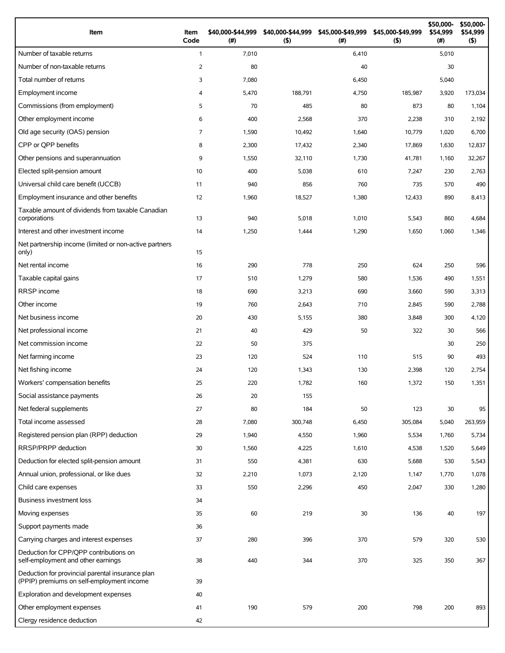| Item                                                                                          | Item<br>Code   | \$40,000-\$44,999<br>(#) | \$40,000-\$44,999<br>(5) | \$45,000-\$49,999<br>(#) | \$45,000-\$49,999<br>(5) | \$50,000-<br>\$54,999<br>(#) | \$50,000-<br>\$54,999<br>$($ \$) |
|-----------------------------------------------------------------------------------------------|----------------|--------------------------|--------------------------|--------------------------|--------------------------|------------------------------|----------------------------------|
| Number of taxable returns                                                                     | $\mathbf{1}$   | 7,010                    |                          | 6,410                    |                          | 5,010                        |                                  |
| Number of non-taxable returns                                                                 | 2              | 80                       |                          | 40                       |                          | 30                           |                                  |
| Total number of returns                                                                       | 3              | 7,080                    |                          | 6,450                    |                          | 5,040                        |                                  |
| Employment income                                                                             | 4              | 5,470                    | 188,791                  | 4,750                    | 185,987                  | 3,920                        | 173,034                          |
| Commissions (from employment)                                                                 | 5              | 70                       | 485                      | 80                       | 873                      | 80                           | 1,104                            |
| Other employment income                                                                       | 6              | 400                      | 2,568                    | 370                      | 2,238                    | 310                          | 2,192                            |
| Old age security (OAS) pension                                                                | $\overline{7}$ | 1,590                    | 10,492                   | 1,640                    | 10,779                   | 1,020                        | 6,700                            |
| CPP or OPP benefits                                                                           | 8              | 2,300                    | 17,432                   | 2,340                    | 17,869                   | 1,630                        | 12,837                           |
| Other pensions and superannuation                                                             | 9              | 1,550                    | 32,110                   | 1,730                    | 41,781                   | 1,160                        | 32,267                           |
| Elected split-pension amount                                                                  | 10             | 400                      | 5,038                    | 610                      | 7,247                    | 230                          | 2,763                            |
| Universal child care benefit (UCCB)                                                           | 11             | 940                      | 856                      | 760                      | 735                      | 570                          | 490                              |
| Employment insurance and other benefits                                                       | 12             | 1,960                    | 18,527                   | 1,380                    | 12,433                   | 890                          | 8,413                            |
| Taxable amount of dividends from taxable Canadian<br>corporations                             | 13             | 940                      | 5,018                    | 1,010                    | 5,543                    | 860                          | 4,684                            |
| Interest and other investment income                                                          | 14             | 1,250                    | 1,444                    | 1,290                    | 1,650                    | 1,060                        | 1,346                            |
| Net partnership income (limited or non-active partners<br>only)                               | 15             |                          |                          |                          |                          |                              |                                  |
| Net rental income                                                                             | 16             | 290                      | 778                      | 250                      | 624                      | 250                          | 596                              |
| Taxable capital gains                                                                         | 17             | 510                      | 1,279                    | 580                      | 1,536                    | 490                          | 1,551                            |
| <b>RRSP</b> income                                                                            | 18             | 690                      | 3,213                    | 690                      | 3,660                    | 590                          | 3,313                            |
| Other income                                                                                  | 19             | 760                      | 2,643                    | 710                      | 2,845                    | 590                          | 2,788                            |
| Net business income                                                                           | 20             | 430                      | 5,155                    | 380                      | 3,848                    | 300                          | 4,120                            |
| Net professional income                                                                       | 21             | 40                       | 429                      | 50                       | 322                      | 30                           | 566                              |
| Net commission income                                                                         | 22             | 50                       | 375                      |                          |                          | 30                           | 250                              |
| Net farming income                                                                            | 23             | 120                      | 524                      | 110                      | 515                      | 90                           | 493                              |
| Net fishing income                                                                            | 24             | 120                      | 1,343                    | 130                      | 2,398                    | 120                          | 2,754                            |
| Workers' compensation benefits                                                                | 25             | 220                      | 1,782                    | 160                      | 1,372                    | 150                          | 1,351                            |
| Social assistance payments                                                                    | 26             | 20                       | 155                      |                          |                          |                              |                                  |
| Net federal supplements                                                                       | 27             | 80                       | 184                      | 50                       | 123                      | 30                           | 95                               |
| Total income assessed                                                                         | 28             | 7,080                    | 300,748                  | 6,450                    | 305,084                  | 5,040                        | 263,959                          |
| Registered pension plan (RPP) deduction                                                       | 29             | 1,940                    | 4,550                    | 1,960                    | 5,534                    | 1,760                        | 5,734                            |
| RRSP/PRPP deduction                                                                           | 30             | 1,560                    | 4,225                    | 1,610                    | 4,538                    | 1,520                        | 5,649                            |
| Deduction for elected split-pension amount                                                    | 31             | 550                      | 4,381                    | 630                      | 5,688                    | 530                          | 5,543                            |
| Annual union, professional, or like dues                                                      | 32             | 2,210                    | 1,073                    | 2,120                    | 1,147                    | 1,770                        | 1,078                            |
| Child care expenses                                                                           | 33             | 550                      | 2,296                    | 450                      | 2,047                    | 330                          | 1,280                            |
| Business investment loss                                                                      | 34             |                          |                          |                          |                          |                              |                                  |
| Moving expenses                                                                               | 35             | 60                       | 219                      | 30                       | 136                      | 40                           | 197                              |
| Support payments made                                                                         | 36             |                          |                          |                          |                          |                              |                                  |
| Carrying charges and interest expenses                                                        | 37             | 280                      | 396                      | 370                      | 579                      | 320                          | 530                              |
| Deduction for CPP/QPP contributions on<br>self-employment and other earnings                  | 38             | 440                      | 344                      | 370                      | 325                      | 350                          | 367                              |
| Deduction for provincial parental insurance plan<br>(PPIP) premiums on self-employment income | 39             |                          |                          |                          |                          |                              |                                  |
| Exploration and development expenses                                                          | 40             |                          |                          |                          |                          |                              |                                  |
| Other employment expenses                                                                     | 41             | 190                      | 579                      | 200                      | 798                      | 200                          | 893                              |
| Clergy residence deduction                                                                    | 42             |                          |                          |                          |                          |                              |                                  |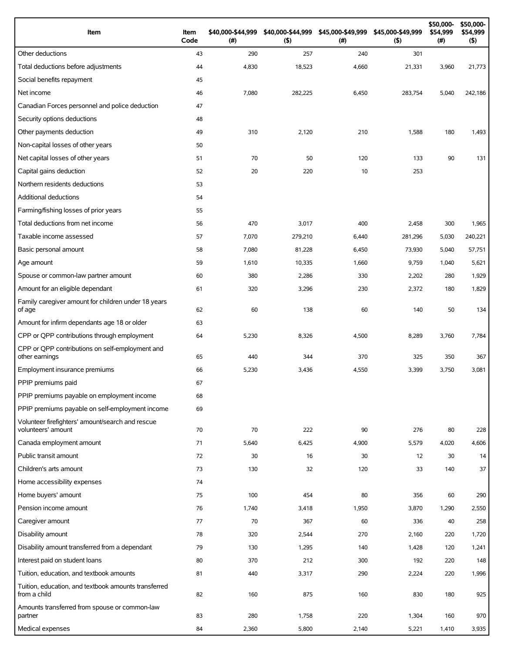| Item                                                                   | Item<br>Code | \$40,000-\$44,999<br>(# ) | \$40,000-\$44,999<br>(5) | \$45,000-\$49,999<br>(#) | \$45,000-\$49,999<br>(5) | \$50,000-<br>\$54,999<br>$(\#)$ | \$50,000-<br>\$54,999<br>$($ \$) |
|------------------------------------------------------------------------|--------------|---------------------------|--------------------------|--------------------------|--------------------------|---------------------------------|----------------------------------|
| Other deductions                                                       | 43           | 290                       | 257                      | 240                      | 301                      |                                 |                                  |
| Total deductions before adjustments                                    | 44           | 4,830                     | 18,523                   | 4,660                    | 21,331                   | 3,960                           | 21,773                           |
| Social benefits repayment                                              | 45           |                           |                          |                          |                          |                                 |                                  |
| Net income                                                             | 46           | 7,080                     | 282,225                  | 6,450                    | 283,754                  | 5,040                           | 242,186                          |
| Canadian Forces personnel and police deduction                         | 47           |                           |                          |                          |                          |                                 |                                  |
| Security options deductions                                            | 48           |                           |                          |                          |                          |                                 |                                  |
| Other payments deduction                                               | 49           | 310                       | 2,120                    | 210                      | 1,588                    | 180                             | 1,493                            |
| Non-capital losses of other years                                      | 50           |                           |                          |                          |                          |                                 |                                  |
| Net capital losses of other years                                      | 51           | 70                        | 50                       | 120                      | 133                      | 90                              | 131                              |
| Capital gains deduction                                                | 52           | 20                        | 220                      | 10                       | 253                      |                                 |                                  |
| Northern residents deductions                                          | 53           |                           |                          |                          |                          |                                 |                                  |
| Additional deductions                                                  | 54           |                           |                          |                          |                          |                                 |                                  |
| Farming/fishing losses of prior years                                  | 55           |                           |                          |                          |                          |                                 |                                  |
| Total deductions from net income                                       | 56           | 470                       | 3,017                    | 400                      | 2,458                    | 300                             | 1,965                            |
| Taxable income assessed                                                | 57           | 7,070                     | 279,210                  | 6,440                    | 281,296                  | 5,030                           | 240,221                          |
| Basic personal amount                                                  | 58           | 7,080                     | 81,228                   | 6,450                    | 73,930                   | 5,040                           | 57,751                           |
| Age amount                                                             | 59           | 1,610                     | 10,335                   | 1,660                    | 9,759                    | 1,040                           | 5,621                            |
| Spouse or common-law partner amount                                    | 60           | 380                       | 2,286                    | 330                      | 2,202                    | 280                             | 1,929                            |
| Amount for an eligible dependant                                       | 61           | 320                       | 3,296                    | 230                      | 2,372                    | 180                             | 1,829                            |
| Family caregiver amount for children under 18 years<br>of age          | 62           | 60                        | 138                      | 60                       | 140                      | 50                              | 134                              |
| Amount for infirm dependants age 18 or older                           | 63           |                           |                          |                          |                          |                                 |                                  |
| CPP or QPP contributions through employment                            | 64           | 5,230                     | 8,326                    | 4,500                    | 8,289                    | 3,760                           | 7,784                            |
| CPP or QPP contributions on self-employment and<br>other earnings      | 65           | 440                       | 344                      | 370                      | 325                      | 350                             | 367                              |
| Employment insurance premiums                                          | 66           | 5,230                     | 3,436                    | 4,550                    | 3,399                    | 3,750                           | 3,081                            |
| PPIP premiums paid                                                     | 67           |                           |                          |                          |                          |                                 |                                  |
| PPIP premiums payable on employment income                             | 68           |                           |                          |                          |                          |                                 |                                  |
| PPIP premiums payable on self-employment income                        | 69           |                           |                          |                          |                          |                                 |                                  |
| Volunteer firefighters' amount/search and rescue<br>volunteers' amount | 70           | 70                        | 222                      | 90                       | 276                      | 80                              | 228                              |
| Canada employment amount                                               | 71           | 5,640                     | 6,425                    | 4,900                    | 5,579                    | 4,020                           | 4,606                            |
| Public transit amount                                                  | 72           | 30                        | 16                       | 30                       | 12                       | 30                              | 14                               |
| Children's arts amount                                                 | 73           | 130                       | 32                       | 120                      | 33                       | 140                             | 37                               |
| Home accessibility expenses                                            | 74           |                           |                          |                          |                          |                                 |                                  |
| Home buyers' amount                                                    | 75           | 100                       | 454                      | 80                       | 356                      | 60                              | 290                              |
| Pension income amount                                                  | 76           | 1,740                     | 3,418                    | 1,950                    | 3,870                    | 1,290                           | 2,550                            |
| Caregiver amount                                                       | 77           | 70                        | 367                      | 60                       | 336                      | 40                              | 258                              |
| Disability amount                                                      | 78           | 320                       | 2,544                    | 270                      | 2,160                    | 220                             | 1,720                            |
| Disability amount transferred from a dependant                         | 79           | 130                       | 1,295                    | 140                      | 1,428                    | 120                             | 1,241                            |
| Interest paid on student loans                                         | 80           | 370                       | 212                      | 300                      | 192                      | 220                             | 148                              |
| Tuition, education, and textbook amounts                               | 81           | 440                       | 3,317                    | 290                      | 2,224                    | 220                             | 1,996                            |
| Tuition, education, and textbook amounts transferred<br>from a child   | 82           | 160                       | 875                      | 160                      | 830                      | 180                             | 925                              |
| Amounts transferred from spouse or common-law                          |              |                           |                          |                          |                          |                                 |                                  |
| partner                                                                | 83           | 280                       | 1,758                    | 220                      | 1,304                    | 160                             | 970                              |
| Medical expenses                                                       | 84           | 2,360                     | 5,800                    | 2,140                    | 5,221                    | 1,410                           | 3,935                            |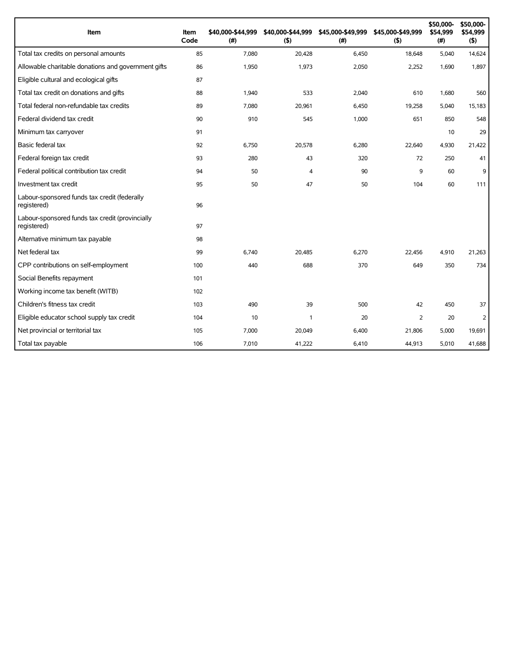| Item                                                           | Item<br>Code | \$40,000-\$44,999<br>(#) | \$40,000-\$44,999<br>(5) | \$45,000-\$49,999<br>(#) | \$45,000-\$49,999<br>(5) | \$50,000-<br>\$54,999<br>(#) | \$50,000-<br>\$54,999<br>(5) |
|----------------------------------------------------------------|--------------|--------------------------|--------------------------|--------------------------|--------------------------|------------------------------|------------------------------|
| Total tax credits on personal amounts                          | 85           | 7,080                    | 20,428                   | 6,450                    | 18,648                   | 5,040                        | 14,624                       |
| Allowable charitable donations and government gifts            | 86           | 1,950                    | 1,973                    | 2,050                    | 2,252                    | 1,690                        | 1,897                        |
| Eligible cultural and ecological gifts                         | 87           |                          |                          |                          |                          |                              |                              |
| Total tax credit on donations and gifts                        | 88           | 1,940                    | 533                      | 2,040                    | 610                      | 1,680                        | 560                          |
| Total federal non-refundable tax credits                       | 89           | 7,080                    | 20,961                   | 6,450                    | 19,258                   | 5,040                        | 15,183                       |
| Federal dividend tax credit                                    | 90           | 910                      | 545                      | 1,000                    | 651                      | 850                          | 548                          |
| Minimum tax carryover                                          | 91           |                          |                          |                          |                          | 10                           | 29                           |
| Basic federal tax                                              | 92           | 6,750                    | 20,578                   | 6,280                    | 22,640                   | 4,930                        | 21,422                       |
| Federal foreign tax credit                                     | 93           | 280                      | 43                       | 320                      | 72                       | 250                          | 41                           |
| Federal political contribution tax credit                      | 94           | 50                       | 4                        | 90                       | 9                        | 60                           | 9                            |
| Investment tax credit                                          | 95           | 50                       | 47                       | 50                       | 104                      | 60                           | 111                          |
| Labour-sponsored funds tax credit (federally<br>registered)    | 96           |                          |                          |                          |                          |                              |                              |
| Labour-sponsored funds tax credit (provincially<br>registered) | 97           |                          |                          |                          |                          |                              |                              |
| Alternative minimum tax payable                                | 98           |                          |                          |                          |                          |                              |                              |
| Net federal tax                                                | 99           | 6,740                    | 20.485                   | 6,270                    | 22,456                   | 4,910                        | 21,263                       |
| CPP contributions on self-employment                           | 100          | 440                      | 688                      | 370                      | 649                      | 350                          | 734                          |
| Social Benefits repayment                                      | 101          |                          |                          |                          |                          |                              |                              |
| Working income tax benefit (WITB)                              | 102          |                          |                          |                          |                          |                              |                              |
| Children's fitness tax credit                                  | 103          | 490                      | 39                       | 500                      | 42                       | 450                          | 37                           |
| Eligible educator school supply tax credit                     | 104          | 10                       | $\mathbf{1}$             | 20                       | 2                        | 20                           | 2                            |
| Net provincial or territorial tax                              | 105          | 7,000                    | 20,049                   | 6,400                    | 21,806                   | 5,000                        | 19,691                       |
| Total tax payable                                              | 106          | 7,010                    | 41,222                   | 6,410                    | 44,913                   | 5,010                        | 41,688                       |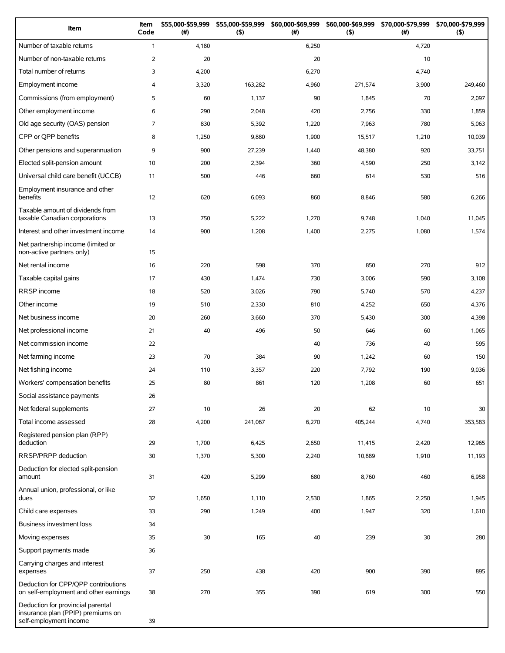| Item                                                                                             | Item<br>Code   | \$55,000-\$59,999<br>(#) | \$55,000-\$59,999<br>(5) | \$60,000-\$69,999<br>(# ) | \$60,000-\$69,999<br>(5) | \$70,000-\$79,999<br>(#) | \$70,000-\$79,999<br>(5) |
|--------------------------------------------------------------------------------------------------|----------------|--------------------------|--------------------------|---------------------------|--------------------------|--------------------------|--------------------------|
| Number of taxable returns                                                                        | $\mathbf{1}$   | 4,180                    |                          | 6,250                     |                          | 4,720                    |                          |
| Number of non-taxable returns                                                                    | $\overline{2}$ | 20                       |                          | 20                        |                          | 10                       |                          |
| Total number of returns                                                                          | 3              | 4,200                    |                          | 6,270                     |                          | 4,740                    |                          |
| Employment income                                                                                | 4              | 3,320                    | 163,282                  | 4,960                     | 271,574                  | 3,900                    | 249,460                  |
| Commissions (from employment)                                                                    | 5              | 60                       | 1,137                    | 90                        | 1,845                    | 70                       | 2,097                    |
| Other employment income                                                                          | 6              | 290                      | 2,048                    | 420                       | 2,756                    | 330                      | 1,859                    |
| Old age security (OAS) pension                                                                   | $\overline{7}$ | 830                      | 5,392                    | 1,220                     | 7,963                    | 780                      | 5,063                    |
| CPP or QPP benefits                                                                              | 8              | 1,250                    | 9,880                    | 1,900                     | 15,517                   | 1,210                    | 10,039                   |
| Other pensions and superannuation                                                                | 9              | 900                      | 27,239                   | 1,440                     | 48,380                   | 920                      | 33,751                   |
| Elected split-pension amount                                                                     | 10             | 200                      | 2,394                    | 360                       | 4,590                    | 250                      | 3,142                    |
| Universal child care benefit (UCCB)                                                              | 11             | 500                      | 446                      | 660                       | 614                      | 530                      | 516                      |
| Employment insurance and other<br>benefits                                                       | 12             | 620                      | 6,093                    | 860                       | 8,846                    | 580                      | 6,266                    |
| Taxable amount of dividends from<br>taxable Canadian corporations                                | 13             | 750                      | 5,222                    | 1,270                     | 9,748                    | 1,040                    | 11,045                   |
| Interest and other investment income                                                             | 14             | 900                      | 1,208                    | 1,400                     | 2,275                    | 1,080                    | 1,574                    |
| Net partnership income (limited or<br>non-active partners only)                                  | 15             |                          |                          |                           |                          |                          |                          |
| Net rental income                                                                                | 16             | 220                      | 598                      | 370                       | 850                      | 270                      | 912                      |
| Taxable capital gains                                                                            | 17             | 430                      | 1,474                    | 730                       | 3,006                    | 590                      | 3,108                    |
| RRSP income                                                                                      | 18             | 520                      | 3,026                    | 790                       | 5,740                    | 570                      | 4,237                    |
| Other income                                                                                     | 19             | 510                      | 2,330                    | 810                       | 4,252                    | 650                      | 4,376                    |
| Net business income                                                                              | 20             | 260                      | 3,660                    | 370                       | 5,430                    | 300                      | 4,398                    |
| Net professional income                                                                          | 21             | 40                       | 496                      | 50                        | 646                      | 60                       | 1,065                    |
| Net commission income                                                                            | 22             |                          |                          | 40                        | 736                      | 40                       | 595                      |
| Net farming income                                                                               | 23             | 70                       | 384                      | 90                        | 1,242                    | 60                       | 150                      |
| Net fishing income                                                                               | 24             | 110                      | 3,357                    | 220                       | 7,792                    | 190                      | 9,036                    |
| Workers' compensation benefits                                                                   | 25             | 80                       | 861                      | 120                       | 1,208                    | 60                       | 651                      |
| Social assistance payments                                                                       | 26             |                          |                          |                           |                          |                          |                          |
| Net federal supplements                                                                          | 27             | 10                       | 26                       | 20                        | 62                       | 10                       | 30                       |
| Total income assessed                                                                            | 28             | 4,200                    | 241,067                  | 6,270                     | 405,244                  | 4,740                    | 353,583                  |
| Registered pension plan (RPP)<br>deduction                                                       | 29             | 1,700                    | 6,425                    | 2,650                     | 11,415                   | 2,420                    | 12,965                   |
| RRSP/PRPP deduction                                                                              | 30             | 1,370                    | 5,300                    | 2,240                     | 10,889                   | 1,910                    | 11,193                   |
| Deduction for elected split-pension<br>amount                                                    | 31             | 420                      | 5,299                    | 680                       | 8,760                    | 460                      | 6,958                    |
| Annual union, professional, or like<br>dues                                                      | 32             | 1,650                    | 1,110                    | 2,530                     | 1,865                    | 2,250                    | 1,945                    |
| Child care expenses                                                                              | 33             | 290                      | 1,249                    | 400                       | 1,947                    | 320                      | 1,610                    |
| Business investment loss                                                                         | 34             |                          |                          |                           |                          |                          |                          |
| Moving expenses                                                                                  | 35             | 30                       | 165                      | 40                        | 239                      | 30                       | 280                      |
| Support payments made                                                                            | 36             |                          |                          |                           |                          |                          |                          |
| Carrying charges and interest<br>expenses                                                        | 37             | 250                      | 438                      | 420                       | 900                      | 390                      | 895                      |
| Deduction for CPP/QPP contributions<br>on self-employment and other earnings                     | 38             | 270                      | 355                      | 390                       | 619                      | 300                      | 550                      |
| Deduction for provincial parental<br>insurance plan (PPIP) premiums on<br>self-employment income | 39             |                          |                          |                           |                          |                          |                          |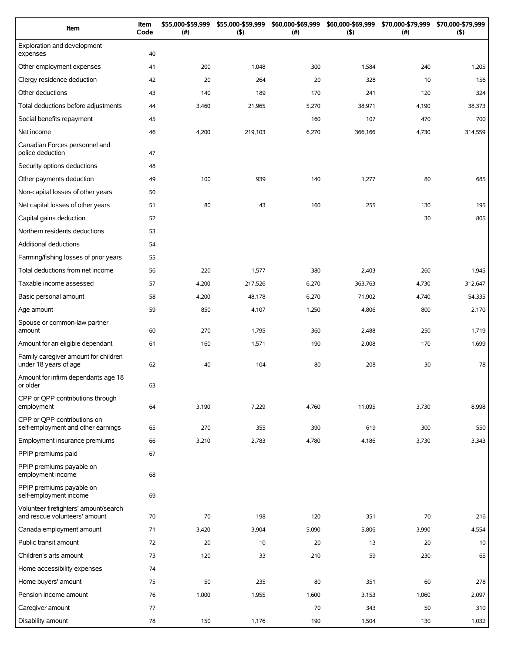| Item                                                                   | Item<br>Code | \$55,000-\$59,999<br>(#) | \$55,000-\$59,999<br>(5) | \$60,000-\$69,999<br>(# ) | \$60,000-\$69,999<br>(5) | \$70,000-\$79,999<br>(#) | \$70,000-\$79,999<br>(5) |
|------------------------------------------------------------------------|--------------|--------------------------|--------------------------|---------------------------|--------------------------|--------------------------|--------------------------|
| Exploration and development<br>expenses                                | 40           |                          |                          |                           |                          |                          |                          |
| Other employment expenses                                              | 41           | 200                      | 1,048                    | 300                       | 1,584                    | 240                      | 1,205                    |
| Clergy residence deduction                                             | 42           | 20                       | 264                      | 20                        | 328                      | 10                       | 156                      |
| Other deductions                                                       | 43           | 140                      | 189                      | 170                       | 241                      | 120                      | 324                      |
| Total deductions before adjustments                                    | 44           | 3,460                    | 21,965                   | 5,270                     | 38,971                   | 4,190                    | 38,373                   |
| Social benefits repayment                                              | 45           |                          |                          | 160                       | 107                      | 470                      | 700                      |
| Net income                                                             | 46           | 4,200                    | 219,103                  | 6,270                     | 366,166                  | 4,730                    | 314,559                  |
| Canadian Forces personnel and<br>police deduction                      | 47           |                          |                          |                           |                          |                          |                          |
| Security options deductions                                            | 48           |                          |                          |                           |                          |                          |                          |
| Other payments deduction                                               | 49           | 100                      | 939                      | 140                       | 1,277                    | 80                       | 685                      |
| Non-capital losses of other years                                      | 50           |                          |                          |                           |                          |                          |                          |
| Net capital losses of other years                                      | 51           | 80                       | 43                       | 160                       | 255                      | 130                      | 195                      |
| Capital gains deduction                                                | 52           |                          |                          |                           |                          | 30                       | 805                      |
| Northern residents deductions                                          | 53           |                          |                          |                           |                          |                          |                          |
| Additional deductions                                                  | 54           |                          |                          |                           |                          |                          |                          |
| Farming/fishing losses of prior years                                  | 55           |                          |                          |                           |                          |                          |                          |
| Total deductions from net income                                       | 56           | 220                      | 1,577                    | 380                       | 2,403                    | 260                      | 1,945                    |
| Taxable income assessed                                                | 57           | 4,200                    | 217,526                  | 6,270                     | 363,763                  | 4,730                    | 312,647                  |
| Basic personal amount                                                  | 58           | 4,200                    | 48,178                   | 6,270                     | 71,902                   | 4,740                    | 54,335                   |
| Age amount                                                             | 59           | 850                      | 4,107                    | 1,250                     | 4,806                    | 800                      | 2,170                    |
| Spouse or common-law partner<br>amount                                 | 60           | 270                      | 1,795                    | 360                       | 2,488                    | 250                      | 1,719                    |
| Amount for an eligible dependant                                       | 61           | 160                      | 1,571                    | 190                       | 2,008                    | 170                      | 1,699                    |
| Family caregiver amount for children<br>under 18 years of age          | 62           | 40                       | 104                      | 80                        | 208                      | 30                       | 78                       |
| Amount for infirm dependants age 18<br>or older                        | 63           |                          |                          |                           |                          |                          |                          |
| CPP or QPP contributions through<br>employment                         | 64           | 3,190                    | 7,229                    | 4,760                     | 11,095                   | 3,730                    | 8,998                    |
| CPP or QPP contributions on<br>self-employment and other earnings      | 65           | 270                      | 355                      | 390                       | 619                      | 300                      | 550                      |
| Employment insurance premiums                                          | 66           | 3,210                    | 2,783                    | 4,780                     | 4,186                    | 3,730                    | 3,343                    |
| PPIP premiums paid                                                     | 67           |                          |                          |                           |                          |                          |                          |
| PPIP premiums payable on<br>employment income                          | 68           |                          |                          |                           |                          |                          |                          |
| PPIP premiums payable on<br>self-employment income                     | 69           |                          |                          |                           |                          |                          |                          |
| Volunteer firefighters' amount/search<br>and rescue volunteers' amount | 70           | 70                       | 198                      | 120                       | 351                      | 70                       | 216                      |
| Canada employment amount                                               | 71           | 3,420                    | 3,904                    | 5,090                     | 5,806                    | 3,990                    | 4,554                    |
| Public transit amount                                                  | 72           | 20                       | 10                       | 20                        | 13                       | 20                       | 10                       |
| Children's arts amount                                                 | 73           | 120                      | 33                       | 210                       | 59                       | 230                      | 65                       |
| Home accessibility expenses                                            | 74           |                          |                          |                           |                          |                          |                          |
| Home buyers' amount                                                    | 75           | 50                       | 235                      | 80                        | 351                      | 60                       | 278                      |
| Pension income amount                                                  | 76           | 1,000                    | 1,955                    | 1,600                     | 3,153                    | 1,060                    | 2,097                    |
| Caregiver amount                                                       | 77           |                          |                          | 70                        | 343                      | 50                       | 310                      |
| Disability amount                                                      | 78           | 150                      | 1,176                    | 190                       | 1,504                    | 130                      | 1,032                    |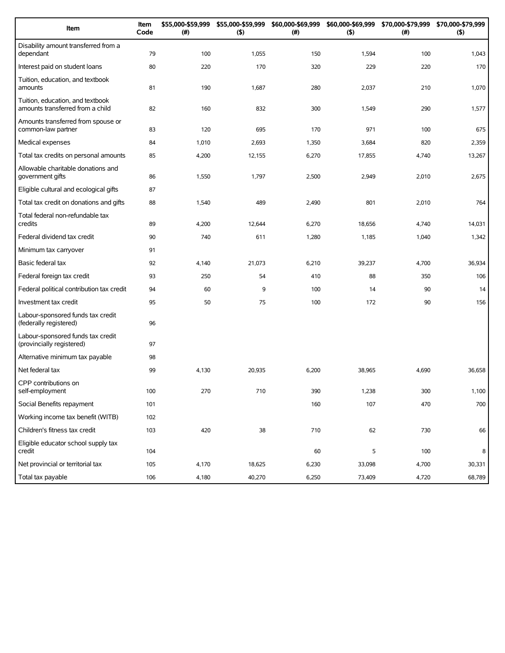| Item                                                                 | Item<br>Code | \$55,000-\$59,999<br>(#) | \$55,000-\$59,999<br>(5) | \$60,000-\$69,999<br>(# ) | \$60,000-\$69,999<br>(5) | \$70,000-\$79,999<br>(#) | \$70,000-\$79,999<br>(5) |
|----------------------------------------------------------------------|--------------|--------------------------|--------------------------|---------------------------|--------------------------|--------------------------|--------------------------|
| Disability amount transferred from a<br>dependant                    | 79           | 100                      | 1,055                    | 150                       | 1,594                    | 100                      | 1,043                    |
| Interest paid on student loans                                       | 80           | 220                      | 170                      | 320                       | 229                      | 220                      | 170                      |
| Tuition, education, and textbook<br>amounts                          | 81           | 190                      | 1,687                    | 280                       | 2,037                    | 210                      | 1,070                    |
| Tuition, education, and textbook<br>amounts transferred from a child | 82           | 160                      | 832                      | 300                       | 1,549                    | 290                      | 1,577                    |
| Amounts transferred from spouse or<br>common-law partner             | 83           | 120                      | 695                      | 170                       | 971                      | 100                      | 675                      |
| Medical expenses                                                     | 84           | 1,010                    | 2,693                    | 1,350                     | 3,684                    | 820                      | 2,359                    |
| Total tax credits on personal amounts                                | 85           | 4,200                    | 12,155                   | 6,270                     | 17,855                   | 4,740                    | 13,267                   |
| Allowable charitable donations and<br>government gifts               | 86           | 1,550                    | 1,797                    | 2,500                     | 2,949                    | 2,010                    | 2,675                    |
| Eligible cultural and ecological gifts                               | 87           |                          |                          |                           |                          |                          |                          |
| Total tax credit on donations and gifts                              | 88           | 1,540                    | 489                      | 2,490                     | 801                      | 2,010                    | 764                      |
| Total federal non-refundable tax<br>credits                          | 89           | 4,200                    | 12,644                   | 6,270                     | 18,656                   | 4,740                    | 14,031                   |
| Federal dividend tax credit                                          | 90           | 740                      | 611                      | 1,280                     | 1,185                    | 1,040                    | 1,342                    |
| Minimum tax carryover                                                | 91           |                          |                          |                           |                          |                          |                          |
| Basic federal tax                                                    | 92           | 4,140                    | 21,073                   | 6,210                     | 39,237                   | 4,700                    | 36,934                   |
| Federal foreign tax credit                                           | 93           | 250                      | 54                       | 410                       | 88                       | 350                      | 106                      |
| Federal political contribution tax credit                            | 94           | 60                       | 9                        | 100                       | 14                       | 90                       | 14                       |
| Investment tax credit                                                | 95           | 50                       | 75                       | 100                       | 172                      | 90                       | 156                      |
| Labour-sponsored funds tax credit<br>(federally registered)          | 96           |                          |                          |                           |                          |                          |                          |
| Labour-sponsored funds tax credit<br>(provincially registered)       | 97           |                          |                          |                           |                          |                          |                          |
| Alternative minimum tax payable                                      | 98           |                          |                          |                           |                          |                          |                          |
| Net federal tax                                                      | 99           | 4,130                    | 20,935                   | 6,200                     | 38,965                   | 4,690                    | 36,658                   |
| CPP contributions on<br>self-employment                              | 100          | 270                      | 710                      | 390                       | 1,238                    | 300                      | 1,100                    |
| Social Benefits repayment                                            | 101          |                          |                          | 160                       | 107                      | 470                      | 700                      |
| Working income tax benefit (WITB)                                    | 102          |                          |                          |                           |                          |                          |                          |
| Children's fitness tax credit                                        | 103          | 420                      | 38                       | 710                       | 62                       | 730                      | 66                       |
| Eligible educator school supply tax<br>credit                        | 104          |                          |                          | 60                        | 5                        | 100                      | 8                        |
| Net provincial or territorial tax                                    | 105          | 4,170                    | 18,625                   | 6,230                     | 33,098                   | 4,700                    | 30,331                   |
| Total tax payable                                                    | 106          | 4,180                    | 40,270                   | 6,250                     | 73,409                   | 4,720                    | 68,789                   |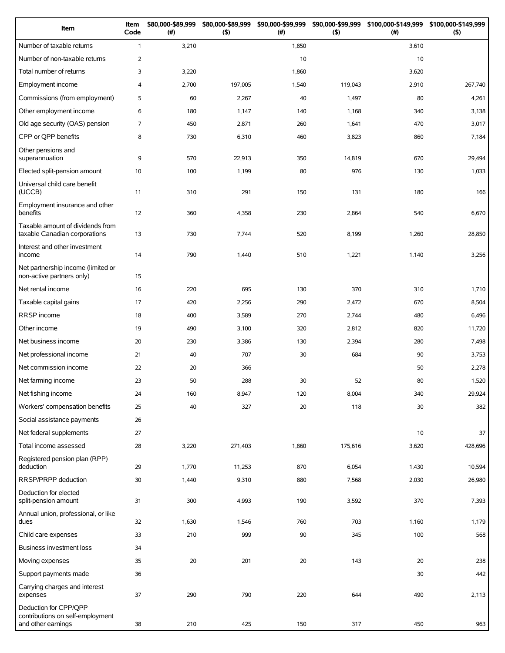| Item                                                                            | Item<br>Code   | \$80,000-\$89,999<br>(#) | \$80,000-\$89,999<br>$($ \$) | \$90,000-\$99,999<br>(#) | $($ \$) | \$90,000-\$99,999 \$100,000-\$149,999<br>(#) | \$100,000-\$149,999<br>$($ \$) |
|---------------------------------------------------------------------------------|----------------|--------------------------|------------------------------|--------------------------|---------|----------------------------------------------|--------------------------------|
| Number of taxable returns                                                       | $\mathbf{1}$   | 3,210                    |                              | 1,850                    |         | 3,610                                        |                                |
| Number of non-taxable returns                                                   | $\overline{2}$ |                          |                              | 10                       |         | 10                                           |                                |
| Total number of returns                                                         | 3              | 3,220                    |                              | 1,860                    |         | 3,620                                        |                                |
| Employment income                                                               | 4              | 2,700                    | 197,005                      | 1,540                    | 119,043 | 2,910                                        | 267,740                        |
| Commissions (from employment)                                                   | 5              | 60                       | 2,267                        | 40                       | 1,497   | 80                                           | 4,261                          |
| Other employment income                                                         | 6              | 180                      | 1,147                        | 140                      | 1,168   | 340                                          | 3,138                          |
| Old age security (OAS) pension                                                  | 7              | 450                      | 2,871                        | 260                      | 1,641   | 470                                          | 3,017                          |
| CPP or QPP benefits                                                             | 8              | 730                      | 6,310                        | 460                      | 3,823   | 860                                          | 7,184                          |
| Other pensions and<br>superannuation                                            | 9              | 570                      | 22,913                       | 350                      | 14,819  | 670                                          | 29,494                         |
| Elected split-pension amount                                                    | 10             | 100                      | 1,199                        | 80                       | 976     | 130                                          | 1,033                          |
| Universal child care benefit<br>(UCCB)                                          | 11             | 310                      | 291                          | 150                      | 131     | 180                                          | 166                            |
| Employment insurance and other<br>benefits                                      | 12             | 360                      | 4,358                        | 230                      | 2,864   | 540                                          | 6,670                          |
| Taxable amount of dividends from<br>taxable Canadian corporations               | 13             | 730                      | 7,744                        | 520                      | 8,199   | 1,260                                        | 28,850                         |
| Interest and other investment<br>income                                         | 14             | 790                      | 1,440                        | 510                      | 1,221   | 1,140                                        | 3,256                          |
| Net partnership income (limited or<br>non-active partners only)                 | 15             |                          |                              |                          |         |                                              |                                |
| Net rental income                                                               | 16             | 220                      | 695                          | 130                      | 370     | 310                                          | 1,710                          |
| Taxable capital gains                                                           | 17             | 420                      | 2,256                        | 290                      | 2,472   | 670                                          | 8,504                          |
| RRSP income                                                                     | 18             | 400                      | 3,589                        | 270                      | 2,744   | 480                                          | 6,496                          |
| Other income                                                                    | 19             | 490                      | 3,100                        | 320                      | 2,812   | 820                                          | 11,720                         |
| Net business income                                                             | 20             | 230                      | 3,386                        | 130                      | 2,394   | 280                                          | 7,498                          |
| Net professional income                                                         | 21             | 40                       | 707                          | 30                       | 684     | 90                                           | 3,753                          |
| Net commission income                                                           | 22             | 20                       | 366                          |                          |         | 50                                           | 2,278                          |
| Net farming income                                                              | 23             | 50                       | 288                          | 30                       | 52      | 80                                           | 1,520                          |
| Net fishing income                                                              | 24             | 160                      | 8,947                        | 120                      | 8,004   | 340                                          | 29,924                         |
| Workers' compensation benefits                                                  | 25             | 40                       | 327                          | 20                       | 118     | 30                                           | 382                            |
| Social assistance payments                                                      | 26             |                          |                              |                          |         |                                              |                                |
| Net federal supplements                                                         | 27             |                          |                              |                          |         | 10                                           | 37                             |
| Total income assessed                                                           | 28             | 3,220                    | 271,403                      | 1,860                    | 175,616 | 3,620                                        | 428,696                        |
| Registered pension plan (RPP)<br>deduction                                      | 29             | 1,770                    | 11,253                       | 870                      | 6,054   | 1,430                                        | 10,594                         |
| RRSP/PRPP deduction                                                             | 30             | 1,440                    | 9,310                        | 880                      | 7,568   | 2,030                                        | 26,980                         |
| Deduction for elected<br>split-pension amount                                   | 31             | 300                      | 4,993                        | 190                      | 3,592   | 370                                          | 7,393                          |
| Annual union, professional, or like<br>dues                                     | 32             | 1,630                    | 1,546                        | 760                      | 703     | 1,160                                        | 1,179                          |
| Child care expenses                                                             | 33             | 210                      | 999                          | 90                       | 345     | 100                                          | 568                            |
| Business investment loss                                                        | 34             |                          |                              |                          |         |                                              |                                |
| Moving expenses                                                                 | 35             | 20                       | 201                          | 20                       | 143     | 20                                           | 238                            |
| Support payments made                                                           | 36             |                          |                              |                          |         | 30                                           | 442                            |
| Carrying charges and interest<br>expenses                                       | 37             | 290                      | 790                          | 220                      | 644     | 490                                          | 2,113                          |
| Deduction for CPP/QPP<br>contributions on self-employment<br>and other earnings | 38             | 210                      | 425                          | 150                      | 317     | 450                                          | 963                            |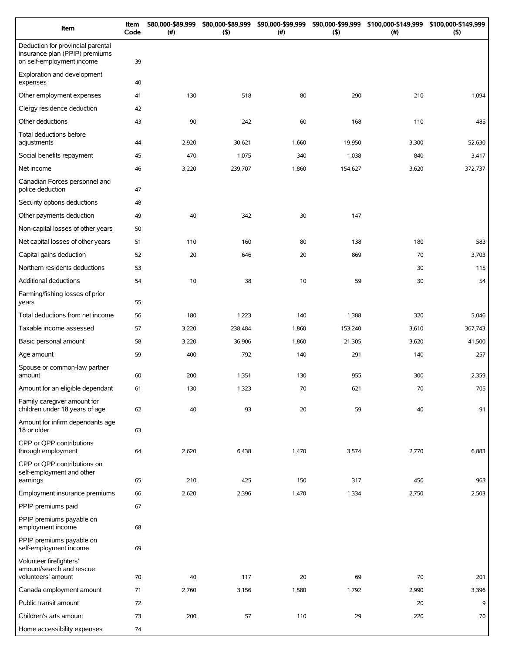| Item                                                                                             | Item<br>Code | \$80,000-\$89,999<br>(# ) | \$80,000-\$89,999<br>(5) | \$90,000-\$99,999<br>(# ) | \$90,000-\$99,999<br>(5) | \$100,000-\$149,999<br>(# ) | \$100,000-\$149,999<br>$($ \$) |
|--------------------------------------------------------------------------------------------------|--------------|---------------------------|--------------------------|---------------------------|--------------------------|-----------------------------|--------------------------------|
| Deduction for provincial parental<br>insurance plan (PPIP) premiums<br>on self-employment income | 39           |                           |                          |                           |                          |                             |                                |
| Exploration and development<br>expenses                                                          | 40           |                           |                          |                           |                          |                             |                                |
| Other employment expenses                                                                        | 41           | 130                       | 518                      | 80                        | 290                      | 210                         | 1,094                          |
| Clergy residence deduction                                                                       | 42           |                           |                          |                           |                          |                             |                                |
| Other deductions                                                                                 | 43           | 90                        | 242                      | 60                        | 168                      | 110                         | 485                            |
| Total deductions before<br>adjustments                                                           | 44           | 2,920                     | 30,621                   | 1,660                     | 19,950                   | 3,300                       | 52,630                         |
| Social benefits repayment                                                                        | 45           | 470                       | 1,075                    | 340                       | 1,038                    | 840                         | 3,417                          |
| Net income                                                                                       | 46           | 3,220                     | 239,707                  | 1,860                     | 154,627                  | 3,620                       | 372,737                        |
| Canadian Forces personnel and<br>police deduction                                                | 47           |                           |                          |                           |                          |                             |                                |
| Security options deductions                                                                      | 48           |                           |                          |                           |                          |                             |                                |
| Other payments deduction                                                                         | 49           | 40                        | 342                      | 30                        | 147                      |                             |                                |
| Non-capital losses of other years                                                                | 50           |                           |                          |                           |                          |                             |                                |
| Net capital losses of other years                                                                | 51           | 110                       | 160                      | 80                        | 138                      | 180                         | 583                            |
| Capital gains deduction                                                                          | 52           | 20                        | 646                      | 20                        | 869                      | 70                          | 3,703                          |
| Northern residents deductions                                                                    | 53           |                           |                          |                           |                          | 30                          | 115                            |
| Additional deductions                                                                            | 54           | 10                        | 38                       | 10                        | 59                       | 30                          | 54                             |
| Farming/fishing losses of prior<br>years                                                         | 55           |                           |                          |                           |                          |                             |                                |
| Total deductions from net income                                                                 | 56           | 180                       | 1,223                    | 140                       | 1,388                    | 320                         | 5,046                          |
| Taxable income assessed                                                                          | 57           | 3,220                     | 238,484                  | 1,860                     | 153,240                  | 3,610                       | 367,743                        |
| Basic personal amount                                                                            | 58           | 3,220                     | 36,906                   | 1,860                     | 21,305                   | 3,620                       | 41,500                         |
| Age amount                                                                                       | 59           | 400                       | 792                      | 140                       | 291                      | 140                         | 257                            |
| Spouse or common-law partner<br>amount                                                           | 60           | 200                       | 1,351                    | 130                       | 955                      | 300                         | 2,359                          |
| Amount for an eligible dependant                                                                 | 61           | 130                       | 1,323                    | 70                        | 621                      | $70\,$                      | 705                            |
| Family caregiver amount for<br>children under 18 years of age                                    | 62           | 40                        | 93                       | 20                        | 59                       | 40                          | 91                             |
| Amount for infirm dependants age<br>18 or older                                                  | 63           |                           |                          |                           |                          |                             |                                |
| CPP or QPP contributions<br>through employment                                                   | 64           | 2,620                     | 6,438                    | 1,470                     | 3,574                    | 2,770                       | 6,883                          |
| CPP or QPP contributions on<br>self-employment and other<br>earnings                             | 65           | 210                       | 425                      | 150                       | 317                      | 450                         | 963                            |
| Employment insurance premiums                                                                    | 66           | 2,620                     | 2,396                    | 1,470                     | 1,334                    | 2,750                       | 2,503                          |
| PPIP premiums paid                                                                               | 67           |                           |                          |                           |                          |                             |                                |
| PPIP premiums payable on<br>employment income                                                    | 68           |                           |                          |                           |                          |                             |                                |
| PPIP premiums payable on<br>self-employment income                                               | 69           |                           |                          |                           |                          |                             |                                |
| Volunteer firefighters'<br>amount/search and rescue<br>volunteers' amount                        | 70           | 40                        | 117                      | 20                        | 69                       | 70                          | 201                            |
| Canada employment amount                                                                         | 71           | 2,760                     | 3,156                    | 1,580                     | 1,792                    | 2,990                       | 3,396                          |
| Public transit amount                                                                            | 72           |                           |                          |                           |                          | 20                          | 9                              |
| Children's arts amount                                                                           | 73           | 200                       | 57                       | 110                       | 29                       | 220                         | 70                             |
| Home accessibility expenses                                                                      | 74           |                           |                          |                           |                          |                             |                                |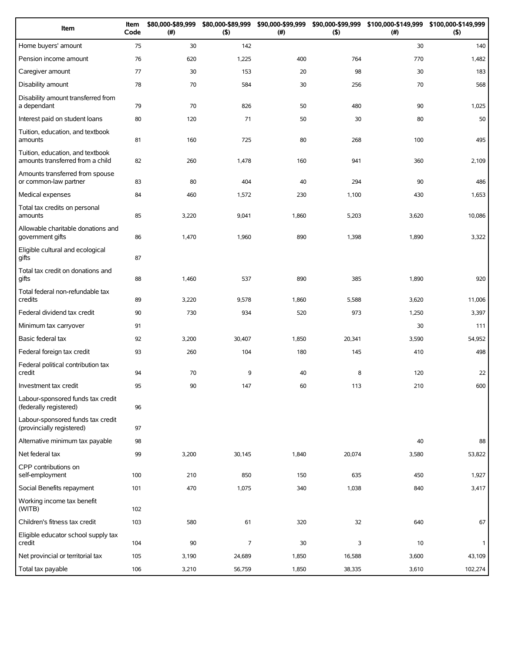| Item                                                                 | Item<br>Code | \$80,000-\$89,999<br>(# ) | \$80,000-\$89,999<br>$($ \$) | \$90,000-\$99,999<br>(#) | \$90,000-\$99,999<br>$($ \$) | \$100,000-\$149,999<br>(# ) | \$100,000-\$149,999<br>$($ \$) |
|----------------------------------------------------------------------|--------------|---------------------------|------------------------------|--------------------------|------------------------------|-----------------------------|--------------------------------|
| Home buyers' amount                                                  | 75           | 30                        | 142                          |                          |                              | 30                          | 140                            |
| Pension income amount                                                | 76           | 620                       | 1,225                        | 400                      | 764                          | 770                         | 1,482                          |
| Caregiver amount                                                     | 77           | 30                        | 153                          | 20                       | 98                           | 30                          | 183                            |
| Disability amount                                                    | 78           | 70                        | 584                          | 30                       | 256                          | 70                          | 568                            |
| Disability amount transferred from<br>a dependant                    | 79           | 70                        | 826                          | 50                       | 480                          | 90                          | 1,025                          |
| Interest paid on student loans                                       | 80           | 120                       | 71                           | 50                       | 30                           | 80                          | 50                             |
| Tuition, education, and textbook<br>amounts                          | 81           | 160                       | 725                          | 80                       | 268                          | 100                         | 495                            |
| Tuition, education, and textbook<br>amounts transferred from a child | 82           | 260                       | 1,478                        | 160                      | 941                          | 360                         | 2,109                          |
| Amounts transferred from spouse<br>or common-law partner             | 83           | 80                        | 404                          | 40                       | 294                          | 90                          | 486                            |
| Medical expenses                                                     | 84           | 460                       | 1,572                        | 230                      | 1,100                        | 430                         | 1,653                          |
| Total tax credits on personal<br>amounts                             | 85           | 3,220                     | 9,041                        | 1,860                    | 5,203                        | 3,620                       | 10,086                         |
| Allowable charitable donations and<br>government gifts               | 86           | 1,470                     | 1,960                        | 890                      | 1,398                        | 1,890                       | 3,322                          |
| Eligible cultural and ecological<br>gifts                            | 87           |                           |                              |                          |                              |                             |                                |
| Total tax credit on donations and<br>gifts                           | 88           | 1,460                     | 537                          | 890                      | 385                          | 1,890                       | 920                            |
| Total federal non-refundable tax<br>credits                          | 89           | 3,220                     | 9,578                        | 1,860                    | 5,588                        | 3,620                       | 11,006                         |
| Federal dividend tax credit                                          | 90           | 730                       | 934                          | 520                      | 973                          | 1,250                       | 3,397                          |
| Minimum tax carryover                                                | 91           |                           |                              |                          |                              | 30                          | 111                            |
| Basic federal tax                                                    | 92           | 3,200                     | 30,407                       | 1,850                    | 20,341                       | 3,590                       | 54,952                         |
| Federal foreign tax credit                                           | 93           | 260                       | 104                          | 180                      | 145                          | 410                         | 498                            |
| Federal political contribution tax<br>credit                         | 94           | 70                        | 9                            | 40                       | 8                            | 120                         | 22                             |
| Investment tax credit                                                | 95           | 90                        | 147                          | 60                       | 113                          | 210                         | 600                            |
| Labour-sponsored funds tax credit<br>(federally registered)          | 96           |                           |                              |                          |                              |                             |                                |
| Labour-sponsored funds tax credit<br>(provincially registered)       | 97           |                           |                              |                          |                              |                             |                                |
| Alternative minimum tax payable                                      | 98           |                           |                              |                          |                              | 40                          | 88                             |
| Net federal tax                                                      | 99           | 3,200                     | 30,145                       | 1,840                    | 20,074                       | 3,580                       | 53,822                         |
| CPP contributions on<br>self-employment                              | 100          | 210                       | 850                          | 150                      | 635                          | 450                         | 1,927                          |
| Social Benefits repayment                                            | 101          | 470                       | 1,075                        | 340                      | 1,038                        | 840                         | 3,417                          |
| Working income tax benefit<br>(WITB)                                 | 102          |                           |                              |                          |                              |                             |                                |
| Children's fitness tax credit                                        | 103          | 580                       | 61                           | 320                      | 32                           | 640                         | 67                             |
| Eligible educator school supply tax<br>credit                        | 104          | 90                        | 7                            | 30                       | 3                            | 10                          | $\mathbf{1}$                   |
| Net provincial or territorial tax                                    | 105          | 3,190                     | 24,689                       | 1,850                    | 16,588                       | 3,600                       | 43,109                         |
| Total tax payable                                                    | 106          | 3,210                     | 56,759                       | 1,850                    | 38,335                       | 3,610                       | 102,274                        |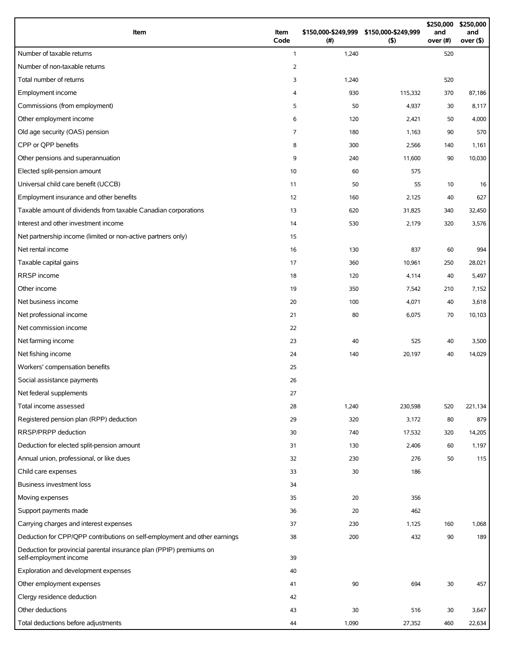| Item                                                                                          | Item<br>Code   | \$150,000-\$249,999 \$150,000-\$249,999<br>(# ) | (5)     | \$250,000<br>and<br>over (#) | \$250,000<br>and<br>over $($ \$) |
|-----------------------------------------------------------------------------------------------|----------------|-------------------------------------------------|---------|------------------------------|----------------------------------|
| Number of taxable returns                                                                     | $\mathbf{1}$   | 1,240                                           |         | 520                          |                                  |
| Number of non-taxable returns                                                                 | $\overline{2}$ |                                                 |         |                              |                                  |
| Total number of returns                                                                       | 3              | 1,240                                           |         | 520                          |                                  |
| Employment income                                                                             | 4              | 930                                             | 115,332 | 370                          | 87,186                           |
| Commissions (from employment)                                                                 | 5              | 50                                              | 4,937   | 30                           | 8,117                            |
| Other employment income                                                                       | 6              | 120                                             | 2,421   | 50                           | 4,000                            |
| Old age security (OAS) pension                                                                | $\overline{7}$ | 180                                             | 1,163   | 90                           | 570                              |
| CPP or OPP benefits                                                                           | 8              | 300                                             | 2,566   | 140                          | 1,161                            |
| Other pensions and superannuation                                                             | 9              | 240                                             | 11,600  | 90                           | 10,030                           |
| Elected split-pension amount                                                                  | 10             | 60                                              | 575     |                              |                                  |
| Universal child care benefit (UCCB)                                                           | 11             | 50                                              | 55      | 10                           | 16                               |
| Employment insurance and other benefits                                                       | 12             | 160                                             | 2,125   | 40                           | 627                              |
| Taxable amount of dividends from taxable Canadian corporations                                | 13             | 620                                             | 31,825  | 340                          | 32,450                           |
| Interest and other investment income                                                          | 14             | 530                                             | 2,179   | 320                          | 3,576                            |
| Net partnership income (limited or non-active partners only)                                  | 15             |                                                 |         |                              |                                  |
| Net rental income                                                                             | 16             | 130                                             | 837     | 60                           | 994                              |
| Taxable capital gains                                                                         | 17             | 360                                             | 10,961  | 250                          | 28,021                           |
| RRSP income                                                                                   | 18             | 120                                             | 4,114   | 40                           | 5,497                            |
| Other income                                                                                  | 19             | 350                                             | 7,542   | 210                          | 7,152                            |
| Net business income                                                                           | 20             | 100                                             | 4,071   | 40                           | 3,618                            |
| Net professional income                                                                       | 21             | 80                                              | 6,075   | 70                           | 10,103                           |
| Net commission income                                                                         | 22             |                                                 |         |                              |                                  |
| Net farming income                                                                            | 23             | 40                                              | 525     | 40                           | 3,500                            |
| Net fishing income                                                                            | 24             | 140                                             | 20,197  | 40                           | 14,029                           |
| Workers' compensation benefits                                                                | 25             |                                                 |         |                              |                                  |
| Social assistance payments                                                                    | 26             |                                                 |         |                              |                                  |
| Net federal supplements                                                                       | 27             |                                                 |         |                              |                                  |
| Total income assessed                                                                         | 28             | 1,240                                           | 230,598 | 520                          | 221,134                          |
| Registered pension plan (RPP) deduction                                                       | 29             | 320                                             | 3,172   | 80                           | 879                              |
| RRSP/PRPP deduction                                                                           | 30             | 740                                             | 17,532  | 320                          | 14,205                           |
| Deduction for elected split-pension amount                                                    | 31             | 130                                             | 2,406   | 60                           | 1,197                            |
| Annual union, professional, or like dues                                                      | 32             | 230                                             | 276     | 50                           | 115                              |
| Child care expenses                                                                           | 33             | 30                                              | 186     |                              |                                  |
| Business investment loss                                                                      | 34             |                                                 |         |                              |                                  |
| Moving expenses                                                                               | 35             | 20                                              | 356     |                              |                                  |
| Support payments made                                                                         | 36             | 20                                              | 462     |                              |                                  |
| Carrying charges and interest expenses                                                        | 37             | 230                                             | 1,125   | 160                          | 1,068                            |
| Deduction for CPP/QPP contributions on self-employment and other earnings                     | 38             | 200                                             | 432     | 90                           | 189                              |
| Deduction for provincial parental insurance plan (PPIP) premiums on<br>self-employment income | 39             |                                                 |         |                              |                                  |
| Exploration and development expenses                                                          | 40             |                                                 |         |                              |                                  |
| Other employment expenses                                                                     | 41             | 90                                              | 694     | 30                           | 457                              |
| Clergy residence deduction                                                                    | 42             |                                                 |         |                              |                                  |
| Other deductions                                                                              | 43             | 30                                              | 516     | 30                           | 3,647                            |
| Total deductions before adjustments                                                           | 44             | 1,090                                           | 27,352  | 460                          | 22,634                           |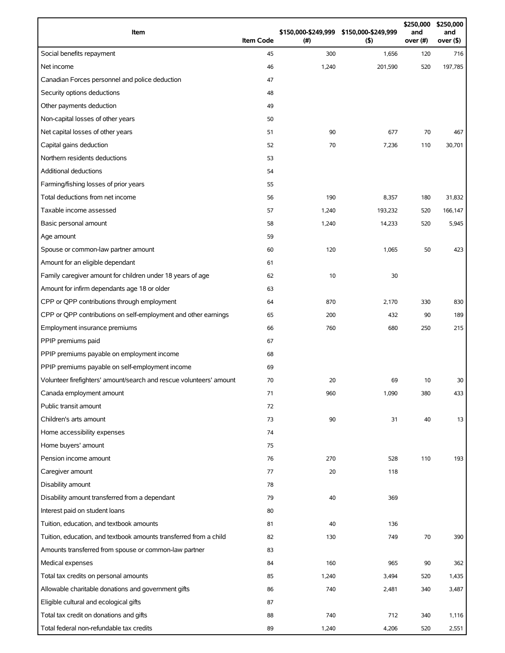| Item                                                                | <b>Item Code</b> | (#)   | \$150,000-\$249,999 \$150,000-\$249,999<br>(5) | \$250,000<br>and<br>over (#) | \$250,000<br>and<br>over $($ \$) |
|---------------------------------------------------------------------|------------------|-------|------------------------------------------------|------------------------------|----------------------------------|
| Social benefits repayment                                           | 45               | 300   | 1,656                                          | 120                          | 716                              |
| Net income                                                          | 46               | 1,240 | 201,590                                        | 520                          | 197,785                          |
| Canadian Forces personnel and police deduction                      | 47               |       |                                                |                              |                                  |
| Security options deductions                                         | 48               |       |                                                |                              |                                  |
| Other payments deduction                                            | 49               |       |                                                |                              |                                  |
| Non-capital losses of other years                                   | 50               |       |                                                |                              |                                  |
| Net capital losses of other years                                   | 51               | 90    | 677                                            | 70                           | 467                              |
| Capital gains deduction                                             | 52               | 70    | 7,236                                          | 110                          | 30,701                           |
| Northern residents deductions                                       | 53               |       |                                                |                              |                                  |
| <b>Additional deductions</b>                                        | 54               |       |                                                |                              |                                  |
| Farming/fishing losses of prior years                               | 55               |       |                                                |                              |                                  |
| Total deductions from net income                                    | 56               | 190   | 8,357                                          | 180                          | 31,832                           |
| Taxable income assessed                                             | 57               | 1,240 | 193,232                                        | 520                          | 166,147                          |
| Basic personal amount                                               | 58               | 1,240 | 14,233                                         | 520                          | 5,945                            |
| Age amount                                                          | 59               |       |                                                |                              |                                  |
| Spouse or common-law partner amount                                 | 60               | 120   | 1,065                                          | 50                           | 423                              |
| Amount for an eligible dependant                                    | 61               |       |                                                |                              |                                  |
| Family caregiver amount for children under 18 years of age          | 62               | 10    | 30                                             |                              |                                  |
| Amount for infirm dependants age 18 or older                        | 63               |       |                                                |                              |                                  |
| CPP or QPP contributions through employment                         | 64               | 870   | 2,170                                          | 330                          | 830                              |
| CPP or QPP contributions on self-employment and other earnings      | 65               | 200   | 432                                            | 90                           | 189                              |
| Employment insurance premiums                                       | 66               | 760   | 680                                            | 250                          | 215                              |
| PPIP premiums paid                                                  | 67               |       |                                                |                              |                                  |
| PPIP premiums payable on employment income                          | 68               |       |                                                |                              |                                  |
| PPIP premiums payable on self-employment income                     | 69               |       |                                                |                              |                                  |
| Volunteer firefighters' amount/search and rescue volunteers' amount | 70               | 20    | 69                                             | 10                           | 30                               |
| Canada employment amount                                            | 71               | 960   | 1,090                                          | 380                          | 433                              |
| Public transit amount                                               | 72               |       |                                                |                              |                                  |
| Children's arts amount                                              | 73               | 90    | 31                                             | 40                           | 13                               |
| Home accessibility expenses                                         | 74               |       |                                                |                              |                                  |
| Home buyers' amount                                                 | 75               |       |                                                |                              |                                  |
| Pension income amount                                               | 76               | 270   | 528                                            | 110                          | 193                              |
| Caregiver amount                                                    | 77               | 20    | 118                                            |                              |                                  |
| Disability amount                                                   | 78               |       |                                                |                              |                                  |
| Disability amount transferred from a dependant                      | 79               | 40    | 369                                            |                              |                                  |
| Interest paid on student loans                                      | 80               |       |                                                |                              |                                  |
| Tuition, education, and textbook amounts                            | 81               | 40    | 136                                            |                              |                                  |
| Tuition, education, and textbook amounts transferred from a child   | 82               | 130   | 749                                            | 70                           | 390                              |
| Amounts transferred from spouse or common-law partner               | 83               |       |                                                |                              |                                  |
| Medical expenses                                                    | 84               | 160   | 965                                            | 90                           | 362                              |
| Total tax credits on personal amounts                               | 85               | 1,240 | 3,494                                          | 520                          | 1,435                            |
| Allowable charitable donations and government gifts                 | 86               | 740   | 2,481                                          | 340                          | 3,487                            |
| Eligible cultural and ecological gifts                              | 87               |       |                                                |                              |                                  |
| Total tax credit on donations and gifts                             | 88               | 740   | 712                                            | 340                          | 1,116                            |
| Total federal non-refundable tax credits                            | 89               | 1,240 | 4,206                                          | 520                          | 2,551                            |